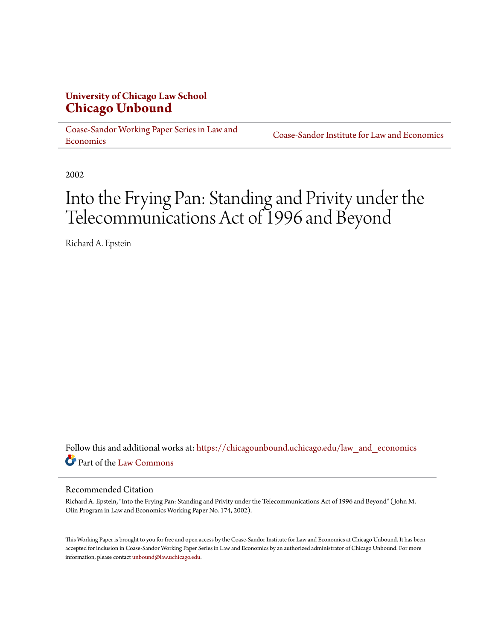## **University of Chicago Law School [Chicago Unbound](https://chicagounbound.uchicago.edu?utm_source=chicagounbound.uchicago.edu%2Flaw_and_economics%2F281&utm_medium=PDF&utm_campaign=PDFCoverPages)**

[Coase-Sandor Working Paper Series in Law and](https://chicagounbound.uchicago.edu/law_and_economics?utm_source=chicagounbound.uchicago.edu%2Flaw_and_economics%2F281&utm_medium=PDF&utm_campaign=PDFCoverPages) [Economics](https://chicagounbound.uchicago.edu/law_and_economics?utm_source=chicagounbound.uchicago.edu%2Flaw_and_economics%2F281&utm_medium=PDF&utm_campaign=PDFCoverPages)

[Coase-Sandor Institute for Law and Economics](https://chicagounbound.uchicago.edu/coase_sandor_institute?utm_source=chicagounbound.uchicago.edu%2Flaw_and_economics%2F281&utm_medium=PDF&utm_campaign=PDFCoverPages)

2002

## Into the Frying Pan: Standing and Privity under the Telecommunications Act of 1996 and Beyond

Richard A. Epstein

Follow this and additional works at: [https://chicagounbound.uchicago.edu/law\\_and\\_economics](https://chicagounbound.uchicago.edu/law_and_economics?utm_source=chicagounbound.uchicago.edu%2Flaw_and_economics%2F281&utm_medium=PDF&utm_campaign=PDFCoverPages) Part of the [Law Commons](http://network.bepress.com/hgg/discipline/578?utm_source=chicagounbound.uchicago.edu%2Flaw_and_economics%2F281&utm_medium=PDF&utm_campaign=PDFCoverPages)

#### Recommended Citation

Richard A. Epstein, "Into the Frying Pan: Standing and Privity under the Telecommunications Act of 1996 and Beyond" ( John M. Olin Program in Law and Economics Working Paper No. 174, 2002).

This Working Paper is brought to you for free and open access by the Coase-Sandor Institute for Law and Economics at Chicago Unbound. It has been accepted for inclusion in Coase-Sandor Working Paper Series in Law and Economics by an authorized administrator of Chicago Unbound. For more information, please contact [unbound@law.uchicago.edu.](mailto:unbound@law.uchicago.edu)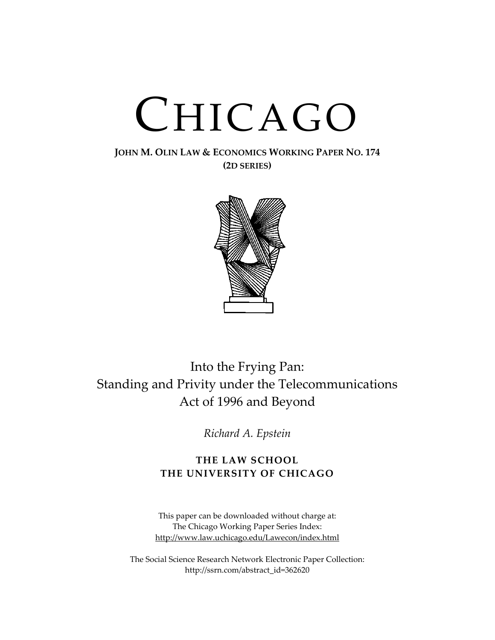# CHICAGO

## **JOHN M. OLIN LAW & ECONOMICS WORKING PAPER NO. 174 (2D SERIES)**



## Into the Frying Pan: Standing and Privity under the Telecommunications Act of 1996 and Beyond

*Richard A. Epstein*

## **THE LAW SCHOOL THE UNIVERSITY OF CHICAGO**

This paper can be downloaded without charge at: The Chicago Working Paper Series Index: [http://www.law.uchicago.edu/Lawecon/index.html](http://www.law.uchicago.edu/Publications/Working/index.html)

The Social Science Research Network Electronic Paper Collection: [http://ssrn.com/abstract\\_id=3](http://papers.ssrn.com/sol3/search.taf)62620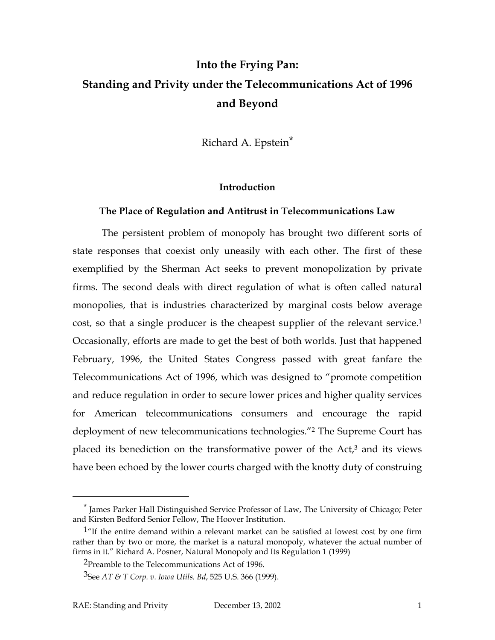## **Into the Frying Pan: Standing and Privity under the Telecommunications Act of 1996 and Beyond**

Richard A. Epstei[n\\*](#page-3-0)

## **Introduction**

## **The Place of Regulation and Antitrust in Telecommunications Law**

The persistent problem of monopoly has brought two different sorts of state responses that coexist only uneasily with each other. The first of these exemplified by the Sherman Act seeks to prevent monopolization by private firms. The second deals with direct regulation of what is often called natural monopolies, that is industries characterized by marginal costs below average cost, so that a single producer is the cheapest supplier of the relevant service[.1](#page-3-1) Occasionally, efforts are made to get the best of both worlds. Just that happened February, 1996, the United States Congress passed with great fanfare the Telecommunications Act of 1996, which was designed to "promote competition and reduce regulation in order to secure lower prices and higher quality services for American telecommunications consumers and encourage the rapid deployment of new telecommunications technologies."[2](#page-3-2) The Supreme Court has placed its benediction on the transformative power of the Act,<sup>3</sup> and its views have been echoed by the lower courts charged with the knotty duty of construing

<span id="page-3-0"></span><sup>\*</sup> James Parker Hall Distinguished Service Professor of Law, The University of Chicago; Peter and Kirsten Bedford Senior Fellow, The Hoover Institution.

<span id="page-3-1"></span><sup>&</sup>lt;sup>1</sup>"If the entire demand within a relevant market can be satisfied at lowest cost by one firm rather than by two or more, the market is a natural monopoly, whatever the actual number of firms in it." Richard A. Posner, Natural Monopoly and Its Regulation 1 (1999)

<span id="page-3-2"></span><sup>2</sup>Preamble to the Telecommunications Act of 1996.

<span id="page-3-3"></span><sup>3</sup>See *AT & T Corp. v. Iowa Utils. Bd*, 525 U.S. 366 (1999).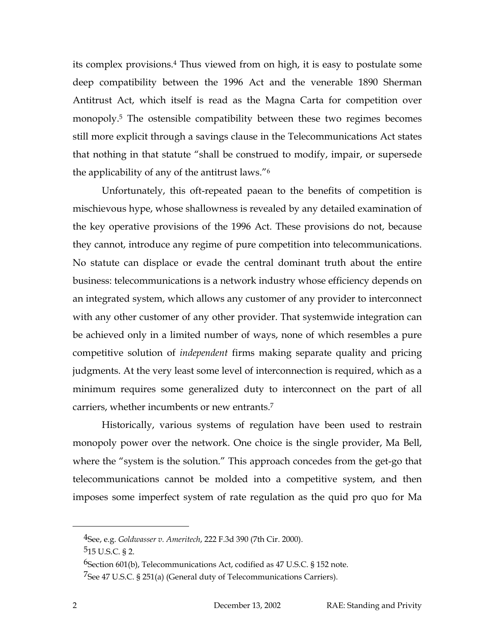its complex provisions.[4](#page-4-0) Thus viewed from on high, it is easy to postulate some deep compatibility between the 1996 Act and the venerable 1890 Sherman Antitrust Act, which itself is read as the Magna Carta for competition over monopoly.[5](#page-4-1) The ostensible compatibility between these two regimes becomes still more explicit through a savings clause in the Telecommunications Act states that nothing in that statute "shall be construed to modify, impair, or supersede the applicability of any of the antitrust laws.["6](#page-4-2) 

Unfortunately, this oft-repeated paean to the benefits of competition is mischievous hype, whose shallowness is revealed by any detailed examination of the key operative provisions of the 1996 Act. These provisions do not, because they cannot, introduce any regime of pure competition into telecommunications. No statute can displace or evade the central dominant truth about the entire business: telecommunications is a network industry whose efficiency depends on an integrated system, which allows any customer of any provider to interconnect with any other customer of any other provider. That systemwide integration can be achieved only in a limited number of ways, none of which resembles a pure competitive solution of *independent* firms making separate quality and pricing judgments. At the very least some level of interconnection is required, which as a minimum requires some generalized duty to interconnect on the part of all carriers, whether incumbents or new entrants.[7](#page-4-3) 

Historically, various systems of regulation have been used to restrain monopoly power over the network. One choice is the single provider, Ma Bell, where the "system is the solution." This approach concedes from the get-go that telecommunications cannot be molded into a competitive system, and then imposes some imperfect system of rate regulation as the quid pro quo for Ma

<span id="page-4-0"></span><sup>4</sup>See, e.g. *Goldwasser v. Ameritech*, 222 F.3d 390 (7th Cir. 2000).

<span id="page-4-1"></span><sup>515</sup> U.S.C. § 2.

<span id="page-4-2"></span><sup>6</sup>Section 601(b), Telecommunications Act, codified as 47 U.S.C. § 152 note.

<span id="page-4-3"></span><sup>&</sup>lt;sup>7</sup>See 47 U.S.C. § 251(a) (General duty of Telecommunications Carriers).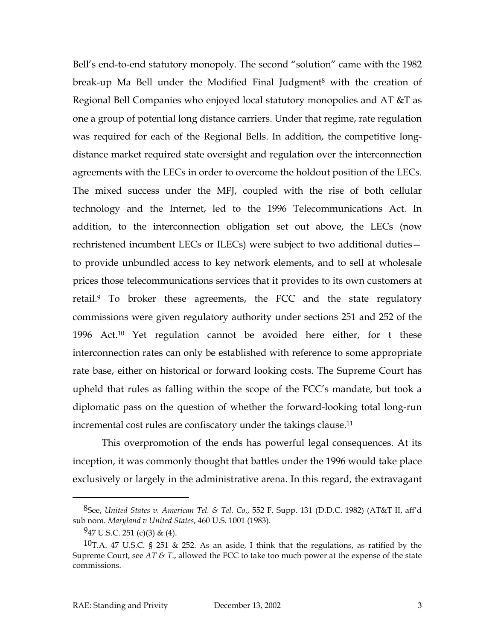Bell's end-to-end statutory monopoly. The second "solution" came with the 1982 break-up Ma Bell under the Modified Final Judgment<sup>8</sup> with the creation of Regional Bell Companies who enjoyed local statutory monopolies and AT &T as one a group of potential long distance carriers. Under that regime, rate regulation was required for each of the Regional Bells. In addition, the competitive longdistance market required state oversight and regulation over the interconnection agreements with the LECs in order to overcome the holdout position of the LECs. The mixed success under the MFJ, coupled with the rise of both cellular technology and the Internet, led to the 1996 Telecommunications Act. In addition, to the interconnection obligation set out above, the LECs (now rechristened incumbent LECs or ILECs) were subject to two additional duties to provide unbundled access to key network elements, and to sell at wholesale prices those telecommunications services that it provides to its own customers at retail.<sup>9</sup> To broker these agreements, the FCC and the state regulatory commissions were given regulatory authority under sections 251 and 252 of the 1996 Act.[10](#page-5-2) Yet regulation cannot be avoided here either, for t these interconnection rates can only be established with reference to some appropriate rate base, either on historical or forward looking costs. The Supreme Court has upheld that rules as falling within the scope of the FCC's mandate, but took a diplomatic pass on the question of whether the forward-looking total long-run incremental cost rules are confiscatory under the takings clause.[11](#page-5-3)

This overpromotion of the ends has powerful legal consequences. At its inception, it was commonly thought that battles under the 1996 would take place exclusively or largely in the administrative arena. In this regard, the extravagant

<span id="page-5-0"></span><sup>8</sup>See, *United States v. American Tel. & Tel. Co*., 552 F. Supp. 131 (D.D.C. 1982) (AT&T II, aff'd sub nom*. Maryland v United States*, 460 U.S. 1001 (1983).

<span id="page-5-3"></span><span id="page-5-2"></span><span id="page-5-1"></span> $947$  U.S.C. 251 (c)(3) & (4).

 $10$ T.A. 47 U.S.C. § 251 & 252. As an aside, I think that the regulations, as ratified by the Supreme Court, see *AT & T*., allowed the FCC to take too much power at the expense of the state commissions.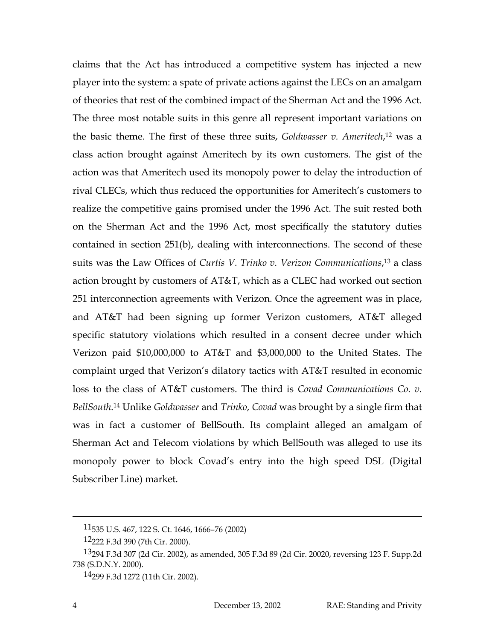claims that the Act has introduced a competitive system has injected a new player into the system: a spate of private actions against the LECs on an amalgam of theories that rest of the combined impact of the Sherman Act and the 1996 Act. The three most notable suits in this genre all represent important variations on the basic theme. The first of these three suits, *Goldwasser v. Ameritech*,[12](#page-6-0) was a class action brought against Ameritech by its own customers. The gist of the action was that Ameritech used its monopoly power to delay the introduction of rival CLECs, which thus reduced the opportunities for Ameritech's customers to realize the competitive gains promised under the 1996 Act. The suit rested both on the Sherman Act and the 1996 Act, most specifically the statutory duties contained in section 251(b), dealing with interconnections. The second of these suits was the Law Offices of *Curtis V. Trinko v. Verizon Communications*,[13](#page-6-1) a class action brought by customers of AT&T, which as a CLEC had worked out section 251 interconnection agreements with Verizon. Once the agreement was in place, and AT&T had been signing up former Verizon customers, AT&T alleged specific statutory violations which resulted in a consent decree under which Verizon paid \$10,000,000 to AT&T and \$3,000,000 to the United States. The complaint urged that Verizon's dilatory tactics with AT&T resulted in economic loss to the class of AT&T customers. The third is *Covad Communications Co. v. BellSouth*. [14](#page-6-2) Unlike *Goldwasser* and *Trinko*, *Covad* was brought by a single firm that was in fact a customer of BellSouth. Its complaint alleged an amalgam of Sherman Act and Telecom violations by which BellSouth was alleged to use its monopoly power to block Covad's entry into the high speed DSL (Digital Subscriber Line) market.

<sup>11535</sup> U.S. 467, 122 S. Ct. 1646, 1666–76 (2002)

<span id="page-6-1"></span><span id="page-6-0"></span><sup>12222</sup> F.3d 390 (7th Cir. 2000).

<sup>13294</sup> F.3d 307 (2d Cir. 2002), as amended, 305 F.3d 89 (2d Cir. 20020, reversing 123 F. Supp.2d 738 (S.D.N.Y. 2000).

<span id="page-6-2"></span><sup>14299</sup> F.3d 1272 (11th Cir. 2002).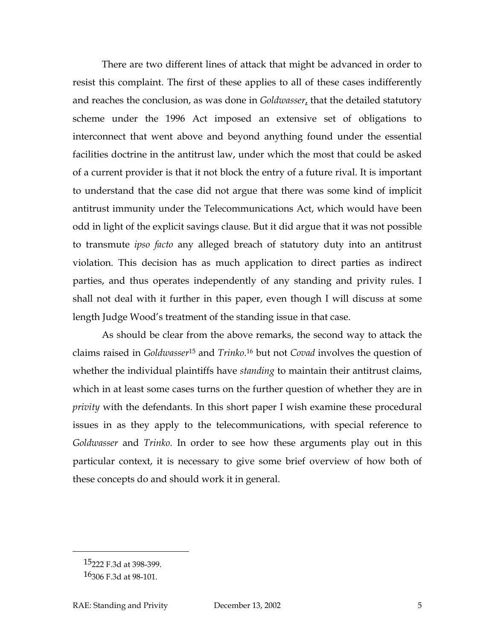There are two different lines of attack that might be advanced in order to resist this complaint. The first of these applies to all of these cases indifferently and reaches the conclusion, as was done in *Goldwasser*, that the detailed statutory scheme under the 1996 Act imposed an extensive set of obligations to interconnect that went above and beyond anything found under the essential facilities doctrine in the antitrust law, under which the most that could be asked of a current provider is that it not block the entry of a future rival. It is important to understand that the case did not argue that there was some kind of implicit antitrust immunity under the Telecommunications Act, which would have been odd in light of the explicit savings clause. But it did argue that it was not possible to transmute *ipso facto* any alleged breach of statutory duty into an antitrust violation. This decision has as much application to direct parties as indirect parties, and thus operates independently of any standing and privity rules. I shall not deal with it further in this paper, even though I will discuss at some length Judge Wood's treatment of the standing issue in that case.

As should be clear from the above remarks, the second way to attack the claims raised in *Goldwasser*[15](#page-7-0) and *Trinko*.[16 b](#page-7-1)ut not *Covad* involves the question of whether the individual plaintiffs have *standing* to maintain their antitrust claims, which in at least some cases turns on the further question of whether they are in *privity* with the defendants. In this short paper I wish examine these procedural issues in as they apply to the telecommunications, with special reference to *Goldwasser* and *Trinko.* In order to see how these arguments play out in this particular context, it is necessary to give some brief overview of how both of these concepts do and should work it in general.

<span id="page-7-0"></span><sup>15222</sup> F.3d at 398-399.

<span id="page-7-1"></span><sup>16306</sup> F.3d at 98-101.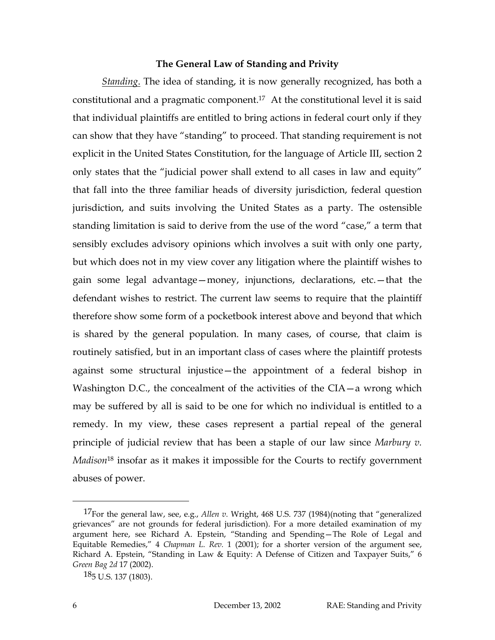### **The General Law of Standing and Privity**

*Standing*. The idea of standing, it is now generally recognized, has both a constitutional and a pragmatic component[.17](#page-8-0) At the constitutional level it is said that individual plaintiffs are entitled to bring actions in federal court only if they can show that they have "standing" to proceed. That standing requirement is not explicit in the United States Constitution, for the language of Article III, section 2 only states that the "judicial power shall extend to all cases in law and equity" that fall into the three familiar heads of diversity jurisdiction, federal question jurisdiction, and suits involving the United States as a party. The ostensible standing limitation is said to derive from the use of the word "case," a term that sensibly excludes advisory opinions which involves a suit with only one party, but which does not in my view cover any litigation where the plaintiff wishes to gain some legal advantage—money, injunctions, declarations, etc.—that the defendant wishes to restrict. The current law seems to require that the plaintiff therefore show some form of a pocketbook interest above and beyond that which is shared by the general population. In many cases, of course, that claim is routinely satisfied, but in an important class of cases where the plaintiff protests against some structural injustice—the appointment of a federal bishop in Washington D.C., the concealment of the activities of the  $CIA - a$  wrong which may be suffered by all is said to be one for which no individual is entitled to a remedy. In my view, these cases represent a partial repeal of the general principle of judicial review that has been a staple of our law since *Marbury v. Madison*[18](#page-8-1) insofar as it makes it impossible for the Courts to rectify government abuses of power.

<span id="page-8-0"></span><sup>17</sup>For the general law, see, e.g., *Allen v.* Wright, 468 U.S. 737 (1984)(noting that "generalized grievances" are not grounds for federal jurisdiction). For a more detailed examination of my argument here, see Richard A. Epstein, "Standing and Spending—The Role of Legal and Equitable Remedies," 4 *Chapman L. Rev.* 1 (2001); for a shorter version of the argument see, Richard A. Epstein, "Standing in Law & Equity: A Defense of Citizen and Taxpayer Suits," 6 *Green Bag 2d* 17 (2002).

<span id="page-8-1"></span><sup>185</sup> U.S. 137 (1803).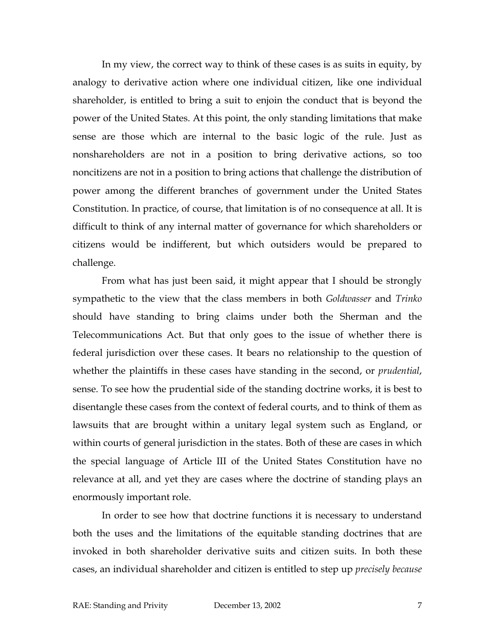In my view, the correct way to think of these cases is as suits in equity, by analogy to derivative action where one individual citizen, like one individual shareholder, is entitled to bring a suit to enjoin the conduct that is beyond the power of the United States. At this point, the only standing limitations that make sense are those which are internal to the basic logic of the rule. Just as nonshareholders are not in a position to bring derivative actions, so too noncitizens are not in a position to bring actions that challenge the distribution of power among the different branches of government under the United States Constitution. In practice, of course, that limitation is of no consequence at all. It is difficult to think of any internal matter of governance for which shareholders or citizens would be indifferent, but which outsiders would be prepared to challenge.

From what has just been said, it might appear that I should be strongly sympathetic to the view that the class members in both *Goldwasser* and *Trinko* should have standing to bring claims under both the Sherman and the Telecommunications Act. But that only goes to the issue of whether there is federal jurisdiction over these cases. It bears no relationship to the question of whether the plaintiffs in these cases have standing in the second, or *prudential*, sense. To see how the prudential side of the standing doctrine works, it is best to disentangle these cases from the context of federal courts, and to think of them as lawsuits that are brought within a unitary legal system such as England, or within courts of general jurisdiction in the states. Both of these are cases in which the special language of Article III of the United States Constitution have no relevance at all, and yet they are cases where the doctrine of standing plays an enormously important role.

In order to see how that doctrine functions it is necessary to understand both the uses and the limitations of the equitable standing doctrines that are invoked in both shareholder derivative suits and citizen suits. In both these cases, an individual shareholder and citizen is entitled to step up *precisely because*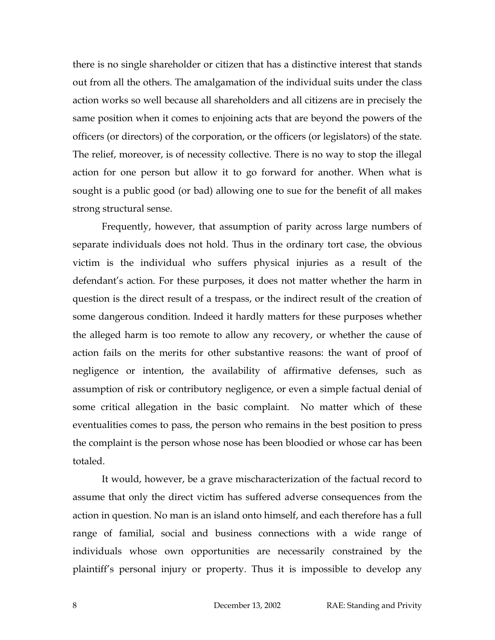there is no single shareholder or citizen that has a distinctive interest that stands out from all the others. The amalgamation of the individual suits under the class action works so well because all shareholders and all citizens are in precisely the same position when it comes to enjoining acts that are beyond the powers of the officers (or directors) of the corporation, or the officers (or legislators) of the state. The relief, moreover, is of necessity collective. There is no way to stop the illegal action for one person but allow it to go forward for another. When what is sought is a public good (or bad) allowing one to sue for the benefit of all makes strong structural sense.

Frequently, however, that assumption of parity across large numbers of separate individuals does not hold. Thus in the ordinary tort case, the obvious victim is the individual who suffers physical injuries as a result of the defendant's action. For these purposes, it does not matter whether the harm in question is the direct result of a trespass, or the indirect result of the creation of some dangerous condition. Indeed it hardly matters for these purposes whether the alleged harm is too remote to allow any recovery, or whether the cause of action fails on the merits for other substantive reasons: the want of proof of negligence or intention, the availability of affirmative defenses, such as assumption of risk or contributory negligence, or even a simple factual denial of some critical allegation in the basic complaint. No matter which of these eventualities comes to pass, the person who remains in the best position to press the complaint is the person whose nose has been bloodied or whose car has been totaled.

It would, however, be a grave mischaracterization of the factual record to assume that only the direct victim has suffered adverse consequences from the action in question. No man is an island onto himself, and each therefore has a full range of familial, social and business connections with a wide range of individuals whose own opportunities are necessarily constrained by the plaintiff's personal injury or property. Thus it is impossible to develop any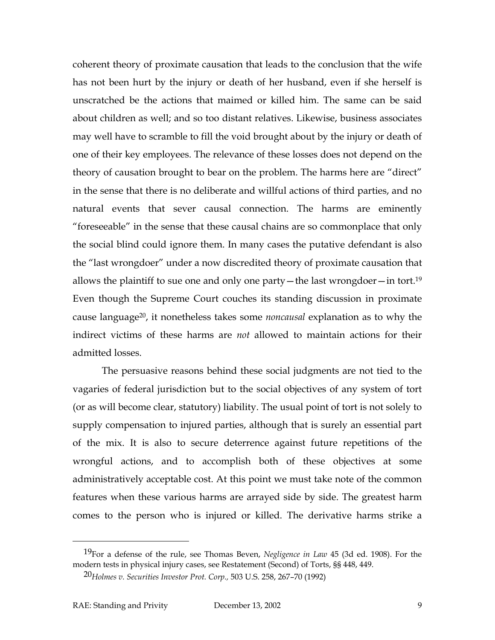coherent theory of proximate causation that leads to the conclusion that the wife has not been hurt by the injury or death of her husband, even if she herself is unscratched be the actions that maimed or killed him. The same can be said about children as well; and so too distant relatives. Likewise, business associates may well have to scramble to fill the void brought about by the injury or death of one of their key employees. The relevance of these losses does not depend on the theory of causation brought to bear on the problem. The harms here are "direct" in the sense that there is no deliberate and willful actions of third parties, and no natural events that sever causal connection. The harms are eminently "foreseeable" in the sense that these causal chains are so commonplace that only the social blind could ignore them. In many cases the putative defendant is also the "last wrongdoer" under a now discredited theory of proximate causation that allows the plaintiff to sue one and only one party—the last wrongdoer—in tort.<sup>19</sup> Even though the Supreme Court couches its standing discussion in proximate cause language[20,](#page-11-1) it nonetheless takes some *noncausal* explanation as to why the indirect victims of these harms are *not* allowed to maintain actions for their admitted losses.

The persuasive reasons behind these social judgments are not tied to the vagaries of federal jurisdiction but to the social objectives of any system of tort (or as will become clear, statutory) liability. The usual point of tort is not solely to supply compensation to injured parties, although that is surely an essential part of the mix. It is also to secure deterrence against future repetitions of the wrongful actions, and to accomplish both of these objectives at some administratively acceptable cost. At this point we must take note of the common features when these various harms are arrayed side by side. The greatest harm comes to the person who is injured or killed. The derivative harms strike a

<span id="page-11-0"></span><sup>19</sup>For a defense of the rule, see Thomas Beven, *Negligence in Law* 45 (3d ed. 1908). For the modern tests in physical injury cases, see Restatement (Second) of Torts, §§ 448, 449.

<span id="page-11-1"></span><sup>20</sup>*Holmes v. Securities Investor Prot. Corp.,* 503 U.S. 258, 267–70 (1992)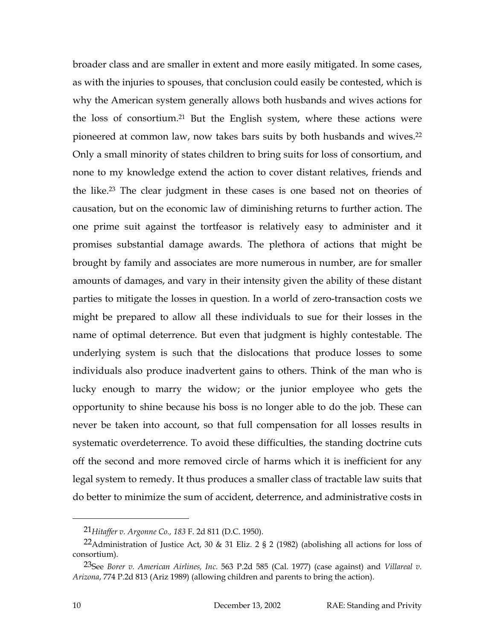broader class and are smaller in extent and more easily mitigated. In some cases, as with the injuries to spouses, that conclusion could easily be contested, which is why the American system generally allows both husbands and wives actions for the loss of consortium[.21](#page-12-0) But the English system, where these actions were pioneered at common law, now takes bars suits by both husbands and wives.<sup>22</sup> Only a small minority of states children to bring suits for loss of consortium, and none to my knowledge extend the action to cover distant relatives, friends and the like.[23](#page-12-2) The clear judgment in these cases is one based not on theories of causation, but on the economic law of diminishing returns to further action. The one prime suit against the tortfeasor is relatively easy to administer and it promises substantial damage awards. The plethora of actions that might be brought by family and associates are more numerous in number, are for smaller amounts of damages, and vary in their intensity given the ability of these distant parties to mitigate the losses in question. In a world of zero-transaction costs we might be prepared to allow all these individuals to sue for their losses in the name of optimal deterrence. But even that judgment is highly contestable. The underlying system is such that the dislocations that produce losses to some individuals also produce inadvertent gains to others. Think of the man who is lucky enough to marry the widow; or the junior employee who gets the opportunity to shine because his boss is no longer able to do the job. These can never be taken into account, so that full compensation for all losses results in systematic overdeterrence. To avoid these difficulties, the standing doctrine cuts off the second and more removed circle of harms which it is inefficient for any legal system to remedy. It thus produces a smaller class of tractable law suits that do better to minimize the sum of accident, deterrence, and administrative costs in

<span id="page-12-1"></span><span id="page-12-0"></span><sup>21</sup>*Hitaffer v. Argonne Co., 183* F. 2d 811 (D.C. 1950).

<sup>&</sup>lt;sup>22</sup>Administration of Justice Act, 30 & 31 Eliz. 2 § 2 (1982) (abolishing all actions for loss of consortium).

<span id="page-12-2"></span><sup>23</sup>See *Borer v. American Airlines, Inc.* 563 P.2d 585 (Cal. 1977) (case against) and *Villareal v. Arizona*, 774 P.2d 813 (Ariz 1989) (allowing children and parents to bring the action).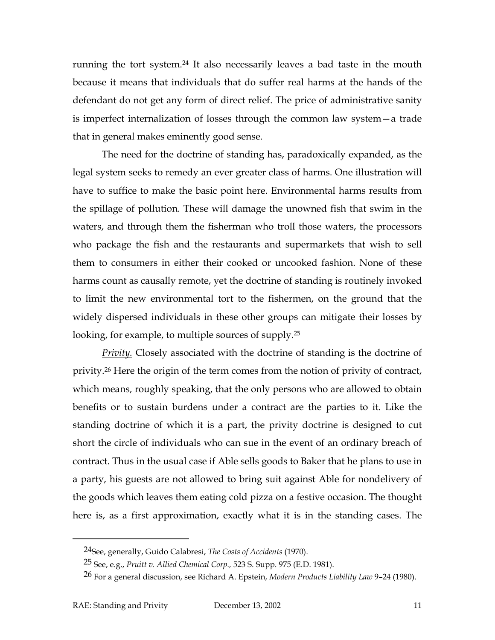running the tort system.[24](#page-13-0) It also necessarily leaves a bad taste in the mouth because it means that individuals that do suffer real harms at the hands of the defendant do not get any form of direct relief. The price of administrative sanity is imperfect internalization of losses through the common law system—a trade that in general makes eminently good sense.

The need for the doctrine of standing has, paradoxically expanded, as the legal system seeks to remedy an ever greater class of harms. One illustration will have to suffice to make the basic point here. Environmental harms results from the spillage of pollution. These will damage the unowned fish that swim in the waters, and through them the fisherman who troll those waters, the processors who package the fish and the restaurants and supermarkets that wish to sell them to consumers in either their cooked or uncooked fashion. None of these harms count as causally remote, yet the doctrine of standing is routinely invoked to limit the new environmental tort to the fishermen, on the ground that the widely dispersed individuals in these other groups can mitigate their losses by looking, for example, to multiple sources of supply.[25](#page-13-1)

*Privity.* Closely associated with the doctrine of standing is the doctrine of privity[.26](#page-13-2) Here the origin of the term comes from the notion of privity of contract, which means, roughly speaking, that the only persons who are allowed to obtain benefits or to sustain burdens under a contract are the parties to it. Like the standing doctrine of which it is a part, the privity doctrine is designed to cut short the circle of individuals who can sue in the event of an ordinary breach of contract. Thus in the usual case if Able sells goods to Baker that he plans to use in a party, his guests are not allowed to bring suit against Able for nondelivery of the goods which leaves them eating cold pizza on a festive occasion. The thought here is, as a first approximation, exactly what it is in the standing cases. The

<span id="page-13-0"></span><sup>24</sup>See, generally, Guido Calabresi, *The Costs of Accidents* (1970).

<span id="page-13-1"></span><sup>25</sup> See, e.g., *Pruitt v. Allied Chemical Corp.,* 523 S. Supp. 975 (E.D. 1981).

<span id="page-13-2"></span><sup>26</sup> For a general discussion, see Richard A. Epstein, *Modern Products Liability Law* 9–24 (1980).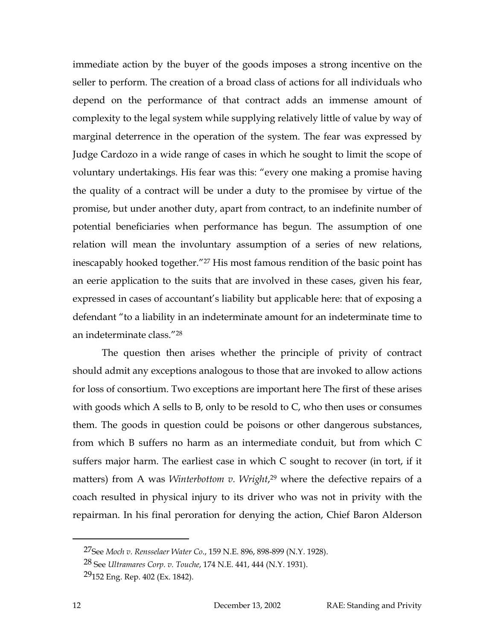immediate action by the buyer of the goods imposes a strong incentive on the seller to perform. The creation of a broad class of actions for all individuals who depend on the performance of that contract adds an immense amount of complexity to the legal system while supplying relatively little of value by way of marginal deterrence in the operation of the system. The fear was expressed by Judge Cardozo in a wide range of cases in which he sought to limit the scope of voluntary undertakings. His fear was this: "every one making a promise having the quality of a contract will be under a duty to the promisee by virtue of the promise, but under another duty, apart from contract, to an indefinite number of potential beneficiaries when performance has begun. The assumption of one relation will mean the involuntary assumption of a series of new relations, inescapably hooked together.["27](#page-14-0) His most famous rendition of the basic point has an eerie application to the suits that are involved in these cases, given his fear, expressed in cases of accountant's liability but applicable here: that of exposing a defendant "to a liability in an indeterminate amount for an indeterminate time to an indeterminate class."[28](#page-14-1)

The question then arises whether the principle of privity of contract should admit any exceptions analogous to those that are invoked to allow actions for loss of consortium. Two exceptions are important here The first of these arises with goods which A sells to B, only to be resold to C, who then uses or consumes them. The goods in question could be poisons or other dangerous substances, from which B suffers no harm as an intermediate conduit, but from which C suffers major harm. The earliest case in which C sought to recover (in tort, if it matters) from A was *Winterbottom v. Wright*, [29](#page-14-2) where the defective repairs of a coach resulted in physical injury to its driver who was not in privity with the repairman. In his final peroration for denying the action, Chief Baron Alderson

<span id="page-14-0"></span><sup>27</sup>See *Moch v. Rensselaer Water Co*., 159 N.E. 896, 898-899 (N.Y. 1928).

<span id="page-14-1"></span><sup>28</sup> See *Ultramares Corp. v. Touche*, 174 N.E. 441, 444 (N.Y. 1931).

<span id="page-14-2"></span><sup>29152</sup> Eng. Rep. 402 (Ex. 1842).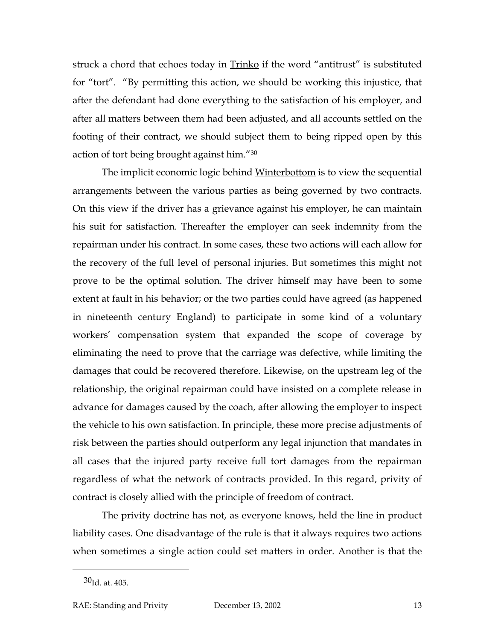struck a chord that echoes today in Trinko if the word "antitrust" is substituted for "tort". "By permitting this action, we should be working this injustice, that after the defendant had done everything to the satisfaction of his employer, and after all matters between them had been adjusted, and all accounts settled on the footing of their contract, we should subject them to being ripped open by this action of tort being brought against him."[30](#page-15-0)

The implicit economic logic behind Winterbottom is to view the sequential arrangements between the various parties as being governed by two contracts. On this view if the driver has a grievance against his employer, he can maintain his suit for satisfaction. Thereafter the employer can seek indemnity from the repairman under his contract. In some cases, these two actions will each allow for the recovery of the full level of personal injuries. But sometimes this might not prove to be the optimal solution. The driver himself may have been to some extent at fault in his behavior; or the two parties could have agreed (as happened in nineteenth century England) to participate in some kind of a voluntary workers' compensation system that expanded the scope of coverage by eliminating the need to prove that the carriage was defective, while limiting the damages that could be recovered therefore. Likewise, on the upstream leg of the relationship, the original repairman could have insisted on a complete release in advance for damages caused by the coach, after allowing the employer to inspect the vehicle to his own satisfaction. In principle, these more precise adjustments of risk between the parties should outperform any legal injunction that mandates in all cases that the injured party receive full tort damages from the repairman regardless of what the network of contracts provided. In this regard, privity of contract is closely allied with the principle of freedom of contract.

The privity doctrine has not, as everyone knows, held the line in product liability cases. One disadvantage of the rule is that it always requires two actions when sometimes a single action could set matters in order. Another is that the

<span id="page-15-0"></span> $30$ Id. at. 405.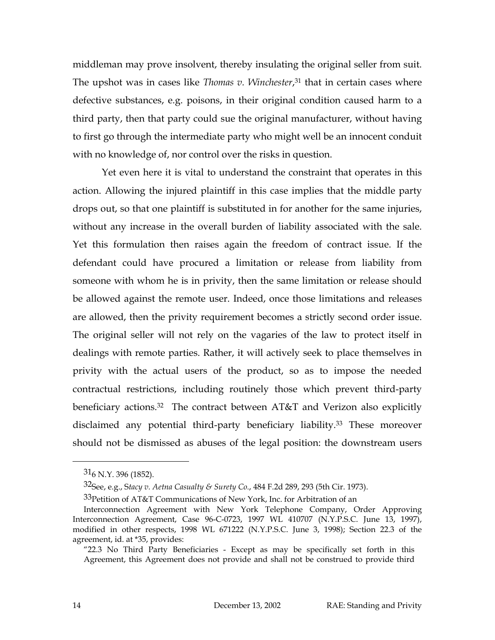<span id="page-16-2"></span>middleman may prove insolvent, thereby insulating the original seller from suit. The upshot was in cases like *Thomas v. Winchester*,<sup>31</sup> that in certain cases where defective substances, e.g. poisons, in their original condition caused harm to a third party, then that party could sue the original manufacturer, without having to first go through the intermediate party who might well be an innocent conduit with no knowledge of, nor control over the risks in question.

Yet even here it is vital to understand the constraint that operates in this action. Allowing the injured plaintiff in this case implies that the middle party drops out, so that one plaintiff is substituted in for another for the same injuries, without any increase in the overall burden of liability associated with the sale. Yet this formulation then raises again the freedom of contract issue. If the defendant could have procured a limitation or release from liability from someone with whom he is in privity, then the same limitation or release should be allowed against the remote user. Indeed, once those limitations and releases are allowed, then the privity requirement becomes a strictly second order issue. The original seller will not rely on the vagaries of the law to protect itself in dealings with remote parties. Rather, it will actively seek to place themselves in privity with the actual users of the product, so as to impose the needed contractual restrictions, including routinely those which prevent third-party beneficiary actions[.32](#page-16-1) The contract between AT&T and Verizon also explicitly disclaimed any potential third-party beneficiary liability.[33](#page-16-2) These moreover should not be dismissed as abuses of the legal position: the downstream users

<span id="page-16-0"></span> $31<sub>6</sub>$  N.Y. 396 (1852).

<span id="page-16-1"></span><sup>32</sup>See, e.g., S*tacy v. Aetna Casualty & Surety Co.*, 484 F.2d 289, 293 (5th Cir. 1973).

<sup>33</sup>Petition of AT&T Communications of New York, Inc. for Arbitration of an

Interconnection Agreement with New York Telephone Company, Order Approving Interconnection Agreement, Case 96-C-0723, 1997 WL 410707 (N.Y.P.S.C. June 13, 1997), modified in other respects, 1998 WL 671222 (N.Y.P.S.C. June 3, 1998); Section 22.3 of the agreement, id. at \*35, provides:

<sup>&</sup>quot;22.3 No Third Party Beneficiaries - Except as may be specifically set forth in this Agreement, this Agreement does not provide and shall not be construed to provide third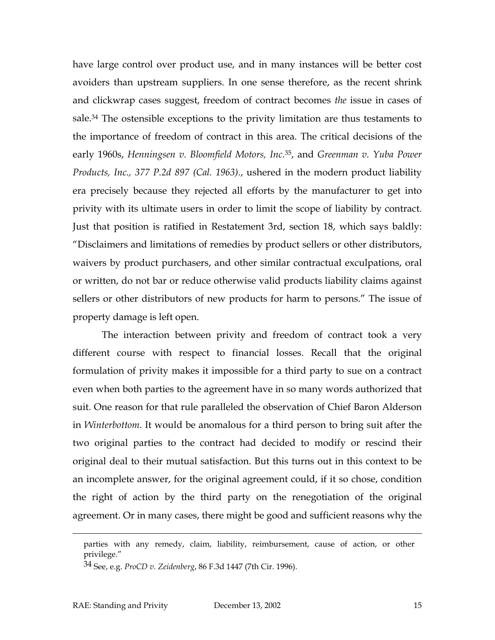have large control over product use, and in many instances will be better cost avoiders than upstream suppliers. In one sense therefore, as the recent shrink and clickwrap cases suggest, freedom of contract becomes *the* issue in cases of sale[.34](#page-17-0) The ostensible exceptions to the privity limitation are thus testaments to the importance of freedom of contract in this area. The critical decisions of the early 1960s, *Henningsen v. Bloomfield Motors, Inc.*[35,](#page-17-1) and *Greenman v. Yuba Power Products, Inc., 377 P.2d 897 (Cal. 1963).*, ushered in the modern product liability era precisely because they rejected all efforts by the manufacturer to get into privity with its ultimate users in order to limit the scope of liability by contract. Just that position is ratified in Restatement 3rd, section 18, which says baldly: "Disclaimers and limitations of remedies by product sellers or other distributors, waivers by product purchasers, and other similar contractual exculpations, oral or written, do not bar or reduce otherwise valid products liability claims against sellers or other distributors of new products for harm to persons." The issue of property damage is left open.

The interaction between privity and freedom of contract took a very different course with respect to financial losses. Recall that the original formulation of privity makes it impossible for a third party to sue on a contract even when both parties to the agreement have in so many words authorized that suit. One reason for that rule paralleled the observation of Chief Baron Alderson in *Winterbottom*. It would be anomalous for a third person to bring suit after the two original parties to the contract had decided to modify or rescind their original deal to their mutual satisfaction. But this turns out in this context to be an incomplete answer, for the original agreement could, if it so chose, condition the right of action by the third party on the renegotiation of the original agreement. Or in many cases, there might be good and sufficient reasons why the

<span id="page-17-1"></span>parties with any remedy, claim, liability, reimbursement, cause of action, or other privilege."

<span id="page-17-0"></span><sup>34</sup> See, e.g. *ProCD v. Zeidenberg*, 86 F.3d 1447 (7th Cir. 1996).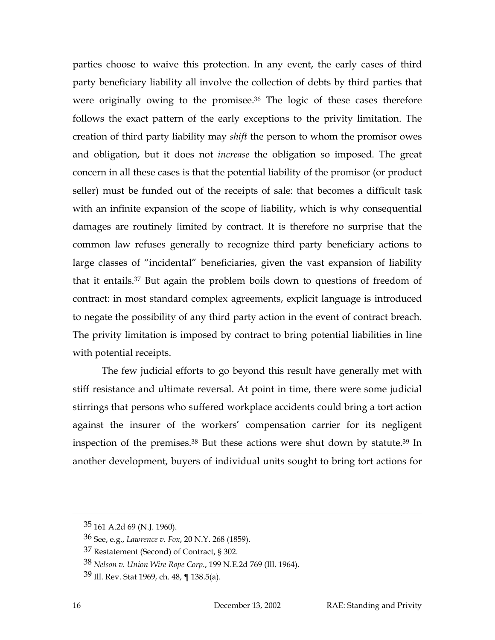parties choose to waive this protection. In any event, the early cases of third party beneficiary liability all involve the collection of debts by third parties that were originally owing to the promisee.<sup>36</sup> The logic of these cases therefore follows the exact pattern of the early exceptions to the privity limitation. The creation of third party liability may *shift* the person to whom the promisor owes and obligation, but it does not *increase* the obligation so imposed. The great concern in all these cases is that the potential liability of the promisor (or product seller) must be funded out of the receipts of sale: that becomes a difficult task with an infinite expansion of the scope of liability, which is why consequential damages are routinely limited by contract. It is therefore no surprise that the common law refuses generally to recognize third party beneficiary actions to large classes of "incidental" beneficiaries, given the vast expansion of liability that it entails[.37](#page-18-1) But again the problem boils down to questions of freedom of contract: in most standard complex agreements, explicit language is introduced to negate the possibility of any third party action in the event of contract breach. The privity limitation is imposed by contract to bring potential liabilities in line with potential receipts.

The few judicial efforts to go beyond this result have generally met with stiff resistance and ultimate reversal. At point in time, there were some judicial stirrings that persons who suffered workplace accidents could bring a tort action against the insurer of the workers' compensation carrier for its negligent inspection of the premises.<sup>38</sup> But these actions were shut down by statute.<sup>39</sup> In another development, buyers of individual units sought to bring tort actions for

-

<sup>35 161</sup> A.2d 69 (N.J. 1960).

<span id="page-18-0"></span><sup>36</sup> See, e.g., *Lawrence v. Fox*, 20 N.Y. 268 (1859).

<span id="page-18-1"></span><sup>37</sup> Restatement (Second) of Contract, § 302.

<span id="page-18-2"></span><sup>38</sup> *Nelson v. Union Wire Rope Corp*., 199 N.E.2d 769 (Ill. 1964).

<span id="page-18-3"></span><sup>39</sup> Ill. Rev. Stat 1969, ch. 48, ¶ 138.5(a).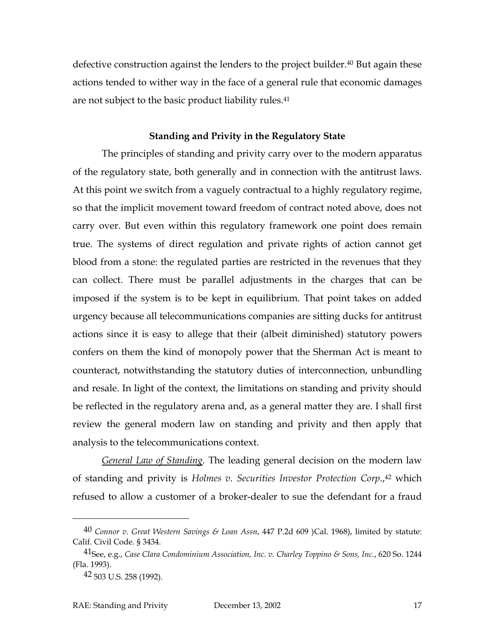defective construction against the lenders to the project builder.<sup>40</sup> But again these actions tended to wither way in the face of a general rule that economic damages are not subject to the basic product liability rules.<sup>41</sup>

#### **Standing and Privity in the Regulatory State**

The principles of standing and privity carry over to the modern apparatus of the regulatory state, both generally and in connection with the antitrust laws. At this point we switch from a vaguely contractual to a highly regulatory regime, so that the implicit movement toward freedom of contract noted above, does not carry over. But even within this regulatory framework one point does remain true. The systems of direct regulation and private rights of action cannot get blood from a stone: the regulated parties are restricted in the revenues that they can collect. There must be parallel adjustments in the charges that can be imposed if the system is to be kept in equilibrium. That point takes on added urgency because all telecommunications companies are sitting ducks for antitrust actions since it is easy to allege that their (albeit diminished) statutory powers confers on them the kind of monopoly power that the Sherman Act is meant to counteract, notwithstanding the statutory duties of interconnection, unbundling and resale. In light of the context, the limitations on standing and privity should be reflected in the regulatory arena and, as a general matter they are. I shall first review the general modern law on standing and privity and then apply that analysis to the telecommunications context.

*General Law of Standing.* The leading general decision on the modern law of standing and privity is *Holmes v. Securities Investor Protection Corp*.[,42](#page-19-2) which refused to allow a customer of a broker-dealer to sue the defendant for a fraud

<span id="page-19-0"></span><sup>40</sup> *Connor v. Great Western Savings & Loan Assn*, 447 P.2d 609 )Cal. 1968), limited by statute: Calif. Civil Code. § 3434.

<span id="page-19-1"></span><sup>41</sup>See, e.g., *Case Clara Condominium Association, Inc. v. Charley Toppino & Sons, Inc.*, 620 So. 1244 (Fla. 1993).

<span id="page-19-2"></span><sup>42 503</sup> U.S. 258 (1992).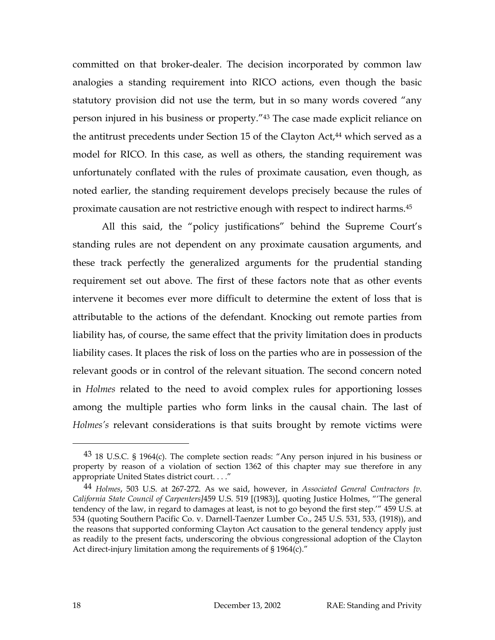committed on that broker-dealer. The decision incorporated by common law analogies a standing requirement into RICO actions, even though the basic statutory provision did not use the term, but in so many words covered "any person injured in his business or property."[43](#page-20-0) The case made explicit reliance on the antitrust precedents under Section 15 of the Clayton Act,<sup>44</sup> which served as a model for RICO. In this case, as well as others, the standing requirement was unfortunately conflated with the rules of proximate causation, even though, as noted earlier, the standing requirement develops precisely because the rules of proximate causation are not restrictive enough with respect to indirect harms[.45](#page-20-2) 

All this said, the "policy justifications" behind the Supreme Court's standing rules are not dependent on any proximate causation arguments, and these track perfectly the generalized arguments for the prudential standing requirement set out above. The first of these factors note that as other events intervene it becomes ever more difficult to determine the extent of loss that is attributable to the actions of the defendant. Knocking out remote parties from liability has, of course, the same effect that the privity limitation does in products liability cases. It places the risk of loss on the parties who are in possession of the relevant goods or in control of the relevant situation. The second concern noted in *Holmes* related to the need to avoid complex rules for apportioning losses among the multiple parties who form links in the causal chain. The last of *Holmes's* relevant considerations is that suits brought by remote victims were

<span id="page-20-0"></span><sup>43 18</sup> U.S.C. § 1964(c). The complete section reads: "Any person injured in his business or property by reason of a violation of section 1362 of this chapter may sue therefore in any appropriate United States district court. . . ."

<span id="page-20-2"></span><span id="page-20-1"></span><sup>44</sup> *Holmes*, 503 U.S. at 267-272. As we said, however, in *Associated General Contractors {v. California State Council of Carpenters]*459 U.S. 519 [(1983)], quoting Justice Holmes, "'The general tendency of the law, in regard to damages at least, is not to go beyond the first step.'" 459 U.S. at 534 (quoting Southern Pacific Co. v. Darnell-Taenzer Lumber Co., 245 U.S. 531, 533, (1918)), and the reasons that supported conforming Clayton Act causation to the general tendency apply just as readily to the present facts, underscoring the obvious congressional adoption of the Clayton Act direct-injury limitation among the requirements of § 1964(c)."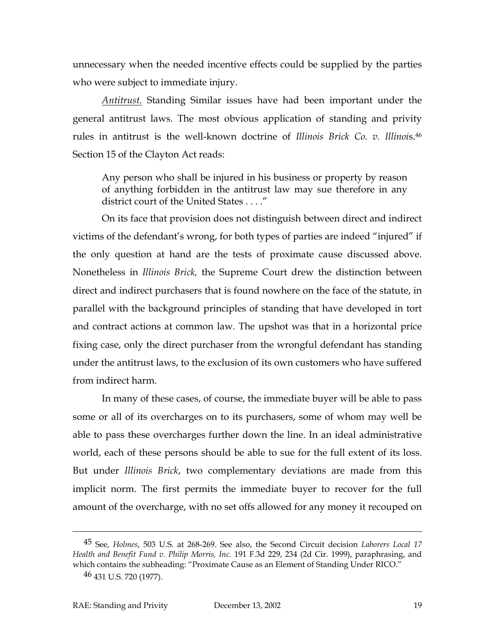unnecessary when the needed incentive effects could be supplied by the parties who were subject to immediate injury.

*Antitrust.* Standing Similar issues have had been important under the general antitrust laws. The most obvious application of standing and privity rules in antitrust is the well-known doctrine of *Illinois Brick Co. v. Illinoi*s[.46](#page-21-0) Section 15 of the Clayton Act reads:

Any person who shall be injured in his business or property by reason of anything forbidden in the antitrust law may sue therefore in any district court of the United States . . . ."

On its face that provision does not distinguish between direct and indirect victims of the defendant's wrong, for both types of parties are indeed "injured" if the only question at hand are the tests of proximate cause discussed above. Nonetheless in *Illinois Brick,* the Supreme Court drew the distinction between direct and indirect purchasers that is found nowhere on the face of the statute, in parallel with the background principles of standing that have developed in tort and contract actions at common law. The upshot was that in a horizontal price fixing case, only the direct purchaser from the wrongful defendant has standing under the antitrust laws, to the exclusion of its own customers who have suffered from indirect harm.

In many of these cases, of course, the immediate buyer will be able to pass some or all of its overcharges on to its purchasers, some of whom may well be able to pass these overcharges further down the line. In an ideal administrative world, each of these persons should be able to sue for the full extent of its loss. But under *Illinois Brick*, two complementary deviations are made from this implicit norm. The first permits the immediate buyer to recover for the full amount of the overcharge, with no set offs allowed for any money it recouped on

-

<sup>45</sup> See, *Holmes*, 503 U.S. at 268-269. See also, the Second Circuit decision *Laborers Local 17 Health and Benefit Fund v. Philip Morris, Inc*. 191 F.3d 229, 234 (2d Cir. 1999), paraphrasing, and which contains the subheading: "Proximate Cause as an Element of Standing Under RICO."

<span id="page-21-0"></span><sup>46 431</sup> U.S. 720 (1977).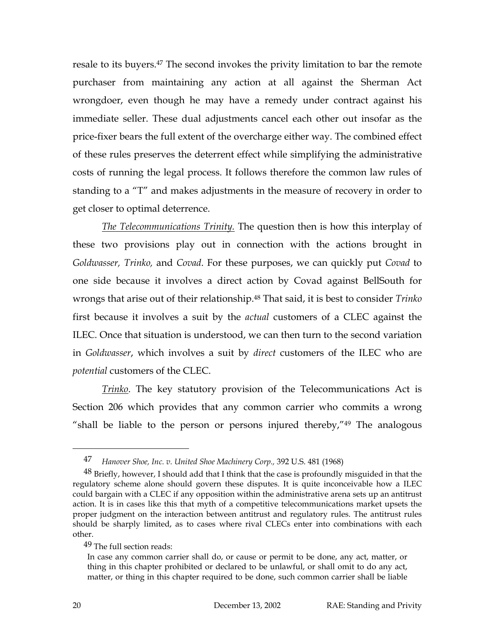<span id="page-22-2"></span>resale to its buyers.[47](#page-22-0) The second invokes the privity limitation to bar the remote purchaser from maintaining any action at all against the Sherman Act wrongdoer, even though he may have a remedy under contract against his immediate seller. These dual adjustments cancel each other out insofar as the price-fixer bears the full extent of the overcharge either way. The combined effect of these rules preserves the deterrent effect while simplifying the administrative costs of running the legal process. It follows therefore the common law rules of standing to a "T" and makes adjustments in the measure of recovery in order to get closer to optimal deterrence.

*The Telecommunications Trinity.* The question then is how this interplay of these two provisions play out in connection with the actions brought in *Goldwasser, Trinko,* and *Covad*. For these purposes, we can quickly put *Covad* to one side because it involves a direct action by Covad against BellSouth for wrongs that arise out of their relationship[.48](#page-22-1) That said, it is best to consider *Trinko* first because it involves a suit by the *actual* customers of a CLEC against the ILEC. Once that situation is understood, we can then turn to the second variation in *Goldwasser*, which involves a suit by *direct* customers of the ILEC who are *potential* customers of the CLEC.

*Trinko*. The key statutory provision of the Telecommunications Act is Section 206 which provides that any common carrier who commits a wrong "shall be liable to the person or persons injured thereby,["49](#page-22-2) The analogous

<span id="page-22-1"></span><span id="page-22-0"></span><sup>47</sup> *Hanover Shoe, Inc. v. United Shoe Machinery Corp.,* 392 U.S. 481 (1968)

 $48$  Briefly, however, I should add that I think that the case is profoundly misguided in that the regulatory scheme alone should govern these disputes. It is quite inconceivable how a ILEC could bargain with a CLEC if any opposition within the administrative arena sets up an antitrust action. It is in cases like this that myth of a competitive telecommunications market upsets the proper judgment on the interaction between antitrust and regulatory rules. The antitrust rules should be sharply limited, as to cases where rival CLECs enter into combinations with each other.

<sup>49</sup> The full section reads:

In case any common carrier shall do, or cause or permit to be done, any act, matter, or thing in this chapter prohibited or declared to be unlawful, or shall omit to do any act, matter, or thing in this chapter required to be done, such common carrier shall be liable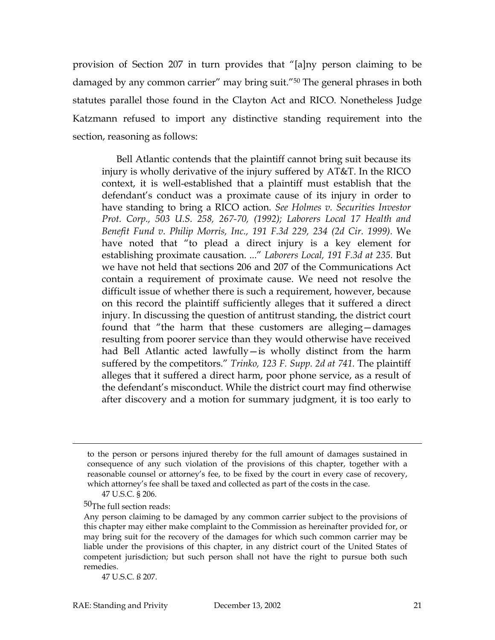provision of Section 207 in turn provides that "[a]ny person claiming to be damaged by any common carrier" may bring suit.["50](#page-23-0) The general phrases in both statutes parallel those found in the Clayton Act and RICO. Nonetheless Judge Katzmann refused to import any distinctive standing requirement into the section, reasoning as follows:

Bell Atlantic contends that the plaintiff cannot bring suit because its injury is wholly derivative of the injury suffered by AT&T. In the RICO context, it is well-established that a plaintiff must establish that the defendant's conduct was a proximate cause of its injury in order to have standing to bring a RICO action. *See Holmes v. Securities Investor Prot. Corp., 503 U.S. 258, 267-70, (1992); Laborers Local 17 Health and Benefit Fund v. Philip Morris, Inc., 191 F.3d 229, 234 (2d Cir. 1999).* We have noted that "to plead a direct injury is a key element for establishing proximate causation. ..." *Laborers Local, 191 F.3d at 235.* But we have not held that sections 206 and 207 of the Communications Act contain a requirement of proximate cause. We need not resolve the difficult issue of whether there is such a requirement, however, because on this record the plaintiff sufficiently alleges that it suffered a direct injury. In discussing the question of antitrust standing, the district court found that "the harm that these customers are alleging—damages resulting from poorer service than they would otherwise have received had Bell Atlantic acted lawfully—is wholly distinct from the harm suffered by the competitors." *Trinko, 123 F. Supp. 2d at 741.* The plaintiff alleges that it suffered a direct harm, poor phone service, as a result of the defendant's misconduct. While the district court may find otherwise after discovery and a motion for summary judgment, it is too early to

 $\overline{a}$ 

<span id="page-23-0"></span>50The full section reads:

47 U.S.C. ß 207.

to the person or persons injured thereby for the full amount of damages sustained in consequence of any such violation of the provisions of this chapter, together with a reasonable counsel or attorney's fee, to be fixed by the court in every case of recovery, which attorney's fee shall be taxed and collected as part of the costs in the case.

<sup>47</sup> U.S.C. § 206.

Any person claiming to be damaged by any common carrier subject to the provisions of this chapter may either make complaint to the Commission as hereinafter provided for, or may bring suit for the recovery of the damages for which such common carrier may be liable under the provisions of this chapter, in any district court of the United States of competent jurisdiction; but such person shall not have the right to pursue both such remedies.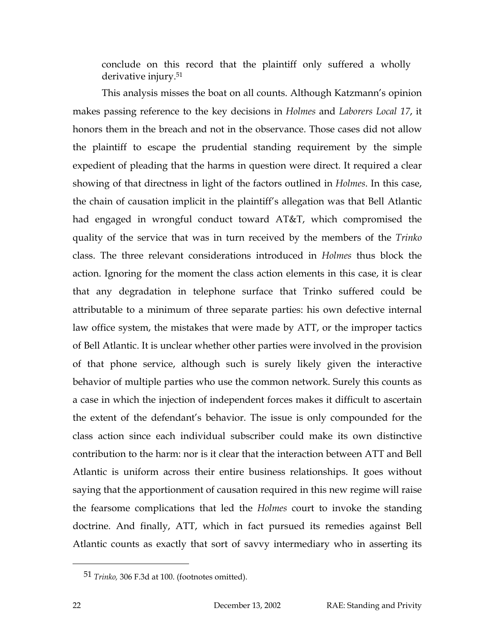conclude on this record that the plaintiff only suffered a wholly derivative injury.[51](#page-24-0)

This analysis misses the boat on all counts. Although Katzmann's opinion makes passing reference to the key decisions in *Holmes* and *Laborers Local 17*, it honors them in the breach and not in the observance. Those cases did not allow the plaintiff to escape the prudential standing requirement by the simple expedient of pleading that the harms in question were direct. It required a clear showing of that directness in light of the factors outlined in *Holmes*. In this case, the chain of causation implicit in the plaintiff's allegation was that Bell Atlantic had engaged in wrongful conduct toward AT&T, which compromised the quality of the service that was in turn received by the members of the *Trinko* class. The three relevant considerations introduced in *Holmes* thus block the action. Ignoring for the moment the class action elements in this case, it is clear that any degradation in telephone surface that Trinko suffered could be attributable to a minimum of three separate parties: his own defective internal law office system, the mistakes that were made by ATT, or the improper tactics of Bell Atlantic. It is unclear whether other parties were involved in the provision of that phone service, although such is surely likely given the interactive behavior of multiple parties who use the common network. Surely this counts as a case in which the injection of independent forces makes it difficult to ascertain the extent of the defendant's behavior. The issue is only compounded for the class action since each individual subscriber could make its own distinctive contribution to the harm: nor is it clear that the interaction between ATT and Bell Atlantic is uniform across their entire business relationships. It goes without saying that the apportionment of causation required in this new regime will raise the fearsome complications that led the *Holmes* court to invoke the standing doctrine. And finally, ATT, which in fact pursued its remedies against Bell Atlantic counts as exactly that sort of savvy intermediary who in asserting its

<span id="page-24-0"></span><sup>51</sup> *Trinko,* 306 F.3d at 100. (footnotes omitted).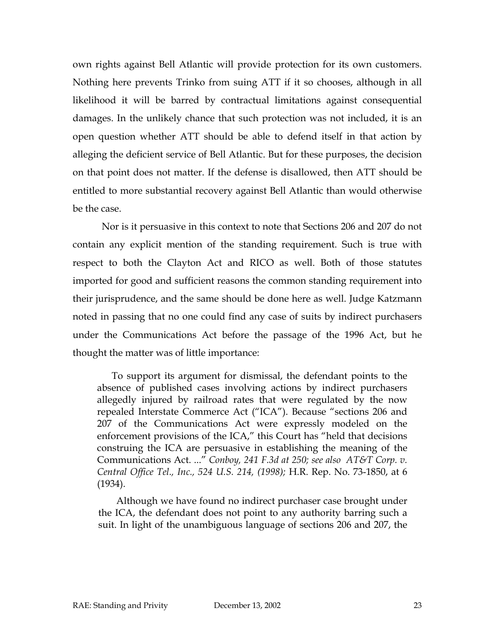own rights against Bell Atlantic will provide protection for its own customers. Nothing here prevents Trinko from suing ATT if it so chooses, although in all likelihood it will be barred by contractual limitations against consequential damages. In the unlikely chance that such protection was not included, it is an open question whether ATT should be able to defend itself in that action by alleging the deficient service of Bell Atlantic. But for these purposes, the decision on that point does not matter. If the defense is disallowed, then ATT should be entitled to more substantial recovery against Bell Atlantic than would otherwise be the case.

Nor is it persuasive in this context to note that Sections 206 and 207 do not contain any explicit mention of the standing requirement. Such is true with respect to both the Clayton Act and RICO as well. Both of those statutes imported for good and sufficient reasons the common standing requirement into their jurisprudence, and the same should be done here as well. Judge Katzmann noted in passing that no one could find any case of suits by indirect purchasers under the Communications Act before the passage of the 1996 Act, but he thought the matter was of little importance:

To support its argument for dismissal, the defendant points to the absence of published cases involving actions by indirect purchasers allegedly injured by railroad rates that were regulated by the now repealed Interstate Commerce Act ("ICA"). Because "sections 206 and 207 of the Communications Act were expressly modeled on the enforcement provisions of the ICA," this Court has "held that decisions construing the ICA are persuasive in establishing the meaning of the Communications Act. ..." *Conboy, 241 F.3d at 250; see also AT&T Corp. v. Central Office Tel., Inc., 524 U.S. 214, (1998);* H.R. Rep. No. 73-1850, at 6 (1934).

Although we have found no indirect purchaser case brought under the ICA, the defendant does not point to any authority barring such a suit. In light of the unambiguous language of sections 206 and 207, the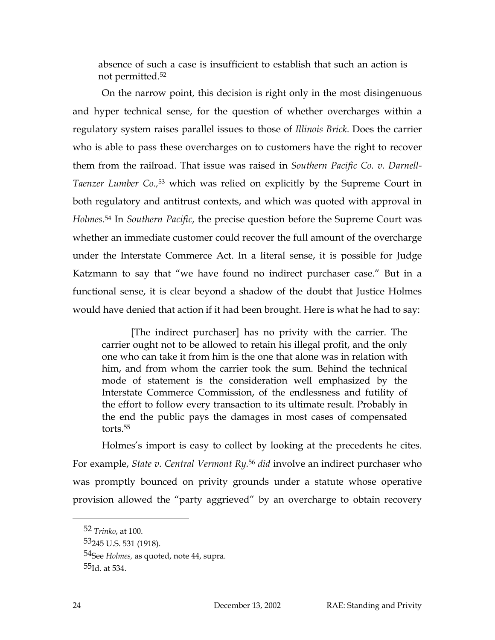absence of such a case is insufficient to establish that such an action is not permitted[.52](#page-26-0)

On the narrow point, this decision is right only in the most disingenuous and hyper technical sense, for the question of whether overcharges within a regulatory system raises parallel issues to those of *Illinois Brick*. Does the carrier who is able to pass these overcharges on to customers have the right to recover them from the railroad. That issue was raised in *Southern Pacific Co. v. Darnell-Taenzer Lumber Co.,*[53](#page-26-1) which was relied on explicitly by the Supreme Court in both regulatory and antitrust contexts, and which was quoted with approval in *Holmes*. [54](#page-26-2) In *Southern Pacific*, the precise question before the Supreme Court was whether an immediate customer could recover the full amount of the overcharge under the Interstate Commerce Act. In a literal sense, it is possible for Judge Katzmann to say that "we have found no indirect purchaser case." But in a functional sense, it is clear beyond a shadow of the doubt that Justice Holmes would have denied that action if it had been brought. Here is what he had to say:

[The indirect purchaser] has no privity with the carrier. The carrier ought not to be allowed to retain his illegal profit, and the only one who can take it from him is the one that alone was in relation with him, and from whom the carrier took the sum. Behind the technical mode of statement is the consideration well emphasized by the Interstate Commerce Commission, of the endlessness and futility of the effort to follow every transaction to its ultimate result. Probably in the end the public pays the damages in most cases of compensated torts[.55](#page-26-3)

Holmes's import is easy to collect by looking at the precedents he cites. For example, *State v. Central Vermont Ry.*[56](#page-26-4) *did* involve an indirect purchaser who was promptly bounced on privity grounds under a statute whose operative provision allowed the "party aggrieved" by an overcharge to obtain recovery

-

<span id="page-26-0"></span><sup>52</sup> *Trinko*, at 100.

<span id="page-26-1"></span><sup>53245</sup> U.S. 531 (1918).

<span id="page-26-4"></span><span id="page-26-2"></span><sup>54</sup>See *Holmes,* as quoted, note 44, supra.

<span id="page-26-3"></span> $55$ Id. at 534.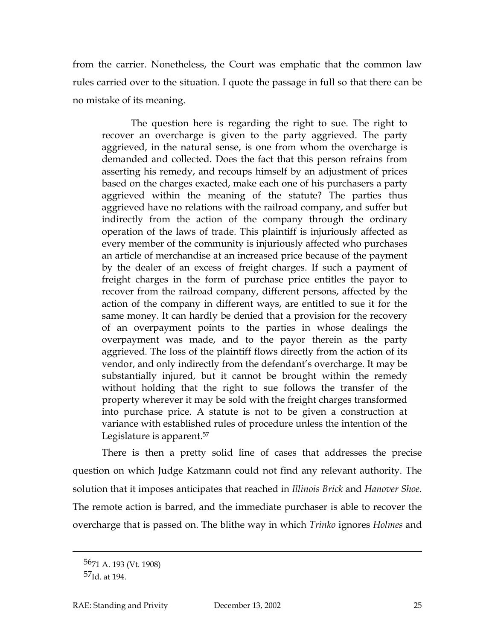from the carrier. Nonetheless, the Court was emphatic that the common law rules carried over to the situation. I quote the passage in full so that there can be no mistake of its meaning.

The question here is regarding the right to sue. The right to recover an overcharge is given to the party aggrieved. The party aggrieved, in the natural sense, is one from whom the overcharge is demanded and collected. Does the fact that this person refrains from asserting his remedy, and recoups himself by an adjustment of prices based on the charges exacted, make each one of his purchasers a party aggrieved within the meaning of the statute? The parties thus aggrieved have no relations with the railroad company, and suffer but indirectly from the action of the company through the ordinary operation of the laws of trade. This plaintiff is injuriously affected as every member of the community is injuriously affected who purchases an article of merchandise at an increased price because of the payment by the dealer of an excess of freight charges. If such a payment of freight charges in the form of purchase price entitles the payor to recover from the railroad company, different persons, affected by the action of the company in different ways, are entitled to sue it for the same money. It can hardly be denied that a provision for the recovery of an overpayment points to the parties in whose dealings the overpayment was made, and to the payor therein as the party aggrieved. The loss of the plaintiff flows directly from the action of its vendor, and only indirectly from the defendant's overcharge. It may be substantially injured, but it cannot be brought within the remedy without holding that the right to sue follows the transfer of the property wherever it may be sold with the freight charges transformed into purchase price. A statute is not to be given a construction at variance with established rules of procedure unless the intention of the Legislature is apparent.<sup>[57](#page-27-0)</sup>

There is then a pretty solid line of cases that addresses the precise question on which Judge Katzmann could not find any relevant authority. The solution that it imposes anticipates that reached in *Illinois Brick* and *Hanover Shoe*. The remote action is barred, and the immediate purchaser is able to recover the overcharge that is passed on. The blithe way in which *Trinko* ignores *Holmes* and

-

<sup>5671</sup> A. 193 (Vt. 1908)

<span id="page-27-0"></span> $57$ Id. at 194.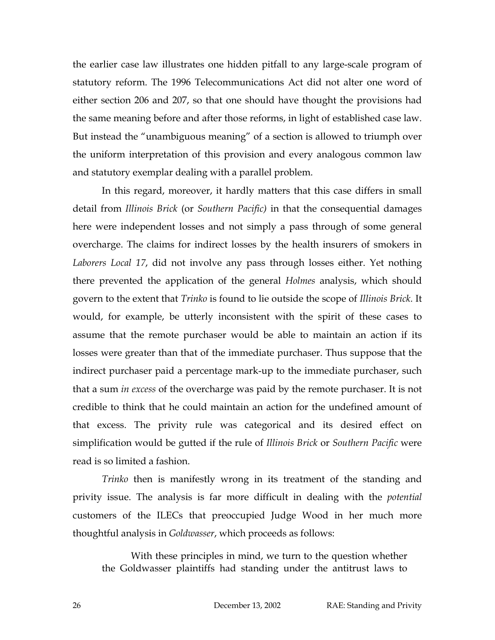the earlier case law illustrates one hidden pitfall to any large-scale program of statutory reform. The 1996 Telecommunications Act did not alter one word of either section 206 and 207, so that one should have thought the provisions had the same meaning before and after those reforms, in light of established case law. But instead the "unambiguous meaning" of a section is allowed to triumph over the uniform interpretation of this provision and every analogous common law and statutory exemplar dealing with a parallel problem.

In this regard, moreover, it hardly matters that this case differs in small detail from *Illinois Brick* (or *Southern Pacific)* in that the consequential damages here were independent losses and not simply a pass through of some general overcharge. The claims for indirect losses by the health insurers of smokers in *Laborers Local 17*, did not involve any pass through losses either. Yet nothing there prevented the application of the general *Holmes* analysis, which should govern to the extent that *Trinko* is found to lie outside the scope of *Illinois Brick.* It would, for example, be utterly inconsistent with the spirit of these cases to assume that the remote purchaser would be able to maintain an action if its losses were greater than that of the immediate purchaser. Thus suppose that the indirect purchaser paid a percentage mark-up to the immediate purchaser, such that a sum *in excess* of the overcharge was paid by the remote purchaser. It is not credible to think that he could maintain an action for the undefined amount of that excess. The privity rule was categorical and its desired effect on simplification would be gutted if the rule of *Illinois Brick* or *Southern Pacific* were read is so limited a fashion.

*Trinko* then is manifestly wrong in its treatment of the standing and privity issue. The analysis is far more difficult in dealing with the *potential* customers of the ILECs that preoccupied Judge Wood in her much more thoughtful analysis in *Goldwasser*, which proceeds as follows:

With these principles in mind, we turn to the question whether the Goldwasser plaintiffs had standing under the antitrust laws to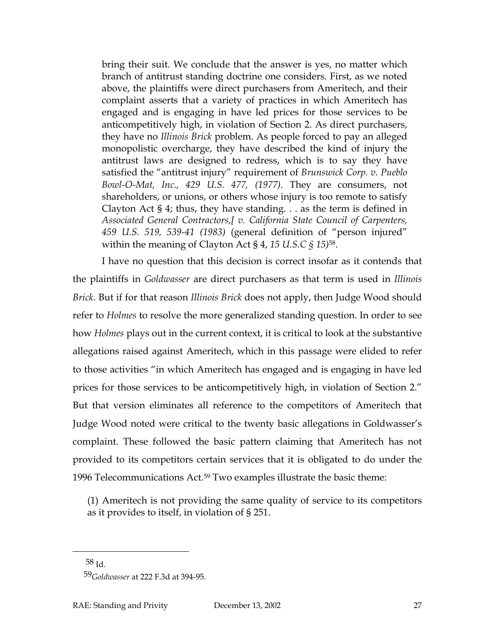bring their suit. We conclude that the answer is yes, no matter which branch of antitrust standing doctrine one considers. First, as we noted above, the plaintiffs were direct purchasers from Ameritech, and their complaint asserts that a variety of practices in which Ameritech has engaged and is engaging in have led prices for those services to be anticompetitively high, in violation of Section 2. As direct purchasers, they have no *Illinois Brick* problem. As people forced to pay an alleged monopolistic overcharge, they have described the kind of injury the antitrust laws are designed to redress, which is to say they have satisfied the "antitrust injury" requirement of *Brunswick Corp. v. Pueblo Bowl-O-Mat, Inc., 429 U.S. 477, (1977).* They are consumers, not shareholders, or unions, or others whose injury is too remote to satisfy Clayton Act  $\S$  4; thus, they have standing. . . as the term is defined in *Associated General Contractors,[ v. California State Council of Carpenters, 459 U.S. 519, 539-41 (1983)* (general definition of "person injured" within the meaning of Clayton Act § 4, *15 U.S.C § 15)*[58](#page-29-0)*.*

I have no question that this decision is correct insofar as it contends that the plaintiffs in *Goldwasser* are direct purchasers as that term is used in *Illinois Brick*. But if for that reason *Illinois Brick* does not apply, then Judge Wood should refer to *Holmes* to resolve the more generalized standing question. In order to see how *Holmes* plays out in the current context, it is critical to look at the substantive allegations raised against Ameritech, which in this passage were elided to refer to those activities "in which Ameritech has engaged and is engaging in have led prices for those services to be anticompetitively high, in violation of Section 2." But that version eliminates all reference to the competitors of Ameritech that Judge Wood noted were critical to the twenty basic allegations in Goldwasser's complaint. These followed the basic pattern claiming that Ameritech has not provided to its competitors certain services that it is obligated to do under the 1996 Telecommunications Act[.59](#page-29-1) Two examples illustrate the basic theme:

(1) Ameritech is not providing the same quality of service to its competitors as it provides to itself, in violation of § 251.

<span id="page-29-0"></span>58 Id.

<span id="page-29-1"></span><sup>59</sup>*Goldwasser* at 222 F.3d at 394-95.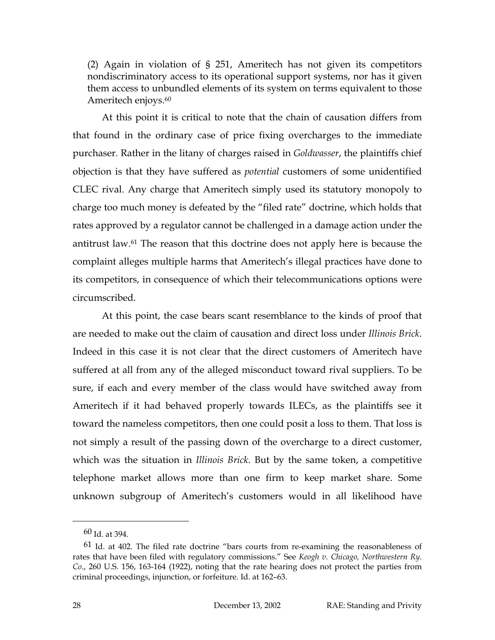(2) Again in violation of § 251, Ameritech has not given its competitors nondiscriminatory access to its operational support systems, nor has it given them access to unbundled elements of its system on terms equivalent to those Ameritech enjoys.<sup>[60](#page-30-0)</sup>

At this point it is critical to note that the chain of causation differs from that found in the ordinary case of price fixing overcharges to the immediate purchaser. Rather in the litany of charges raised in *Goldwasser*, the plaintiffs chief objection is that they have suffered as *potential* customers of some unidentified CLEC rival. Any charge that Ameritech simply used its statutory monopoly to charge too much money is defeated by the "filed rate" doctrine, which holds that rates approved by a regulator cannot be challenged in a damage action under the antitrust law.[61](#page-30-1) The reason that this doctrine does not apply here is because the complaint alleges multiple harms that Ameritech's illegal practices have done to its competitors, in consequence of which their telecommunications options were circumscribed.

At this point, the case bears scant resemblance to the kinds of proof that are needed to make out the claim of causation and direct loss under *Illinois Brick*. Indeed in this case it is not clear that the direct customers of Ameritech have suffered at all from any of the alleged misconduct toward rival suppliers. To be sure, if each and every member of the class would have switched away from Ameritech if it had behaved properly towards ILECs, as the plaintiffs see it toward the nameless competitors, then one could posit a loss to them. That loss is not simply a result of the passing down of the overcharge to a direct customer, which was the situation in *Illinois Brick*. But by the same token, a competitive telephone market allows more than one firm to keep market share. Some unknown subgroup of Ameritech's customers would in all likelihood have

<span id="page-30-1"></span><span id="page-30-0"></span><sup>60</sup> Id. at 394.

<sup>61</sup> Id. at 402. The filed rate doctrine "bars courts from re-examining the reasonableness of rates that have been filed with regulatory commissions." See *Keogh v. Chicago, Northwestern Ry. Co*., 260 U.S. 156, 163-164 (1922), noting that the rate hearing does not protect the parties from criminal proceedings, injunction, or forfeiture. Id. at 162–63.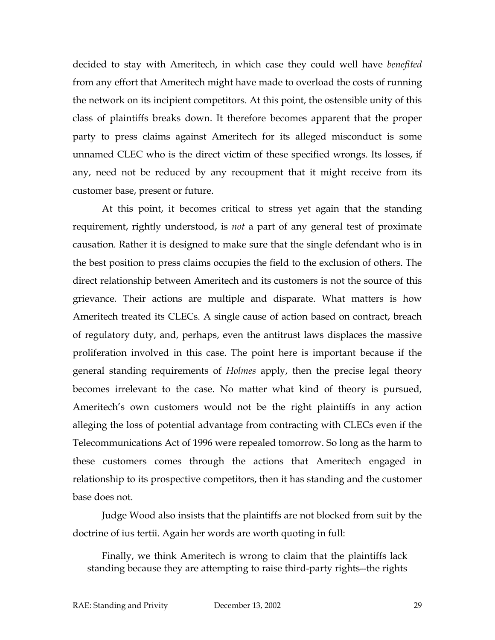decided to stay with Ameritech, in which case they could well have *benefited* from any effort that Ameritech might have made to overload the costs of running the network on its incipient competitors. At this point, the ostensible unity of this class of plaintiffs breaks down. It therefore becomes apparent that the proper party to press claims against Ameritech for its alleged misconduct is some unnamed CLEC who is the direct victim of these specified wrongs. Its losses, if any, need not be reduced by any recoupment that it might receive from its customer base, present or future.

At this point, it becomes critical to stress yet again that the standing requirement, rightly understood, is *not* a part of any general test of proximate causation. Rather it is designed to make sure that the single defendant who is in the best position to press claims occupies the field to the exclusion of others. The direct relationship between Ameritech and its customers is not the source of this grievance. Their actions are multiple and disparate. What matters is how Ameritech treated its CLECs. A single cause of action based on contract, breach of regulatory duty, and, perhaps, even the antitrust laws displaces the massive proliferation involved in this case. The point here is important because if the general standing requirements of *Holmes* apply, then the precise legal theory becomes irrelevant to the case. No matter what kind of theory is pursued, Ameritech's own customers would not be the right plaintiffs in any action alleging the loss of potential advantage from contracting with CLECs even if the Telecommunications Act of 1996 were repealed tomorrow. So long as the harm to these customers comes through the actions that Ameritech engaged in relationship to its prospective competitors, then it has standing and the customer base does not.

Judge Wood also insists that the plaintiffs are not blocked from suit by the doctrine of ius tertii. Again her words are worth quoting in full:

Finally, we think Ameritech is wrong to claim that the plaintiffs lack standing because they are attempting to raise third-party rights--the rights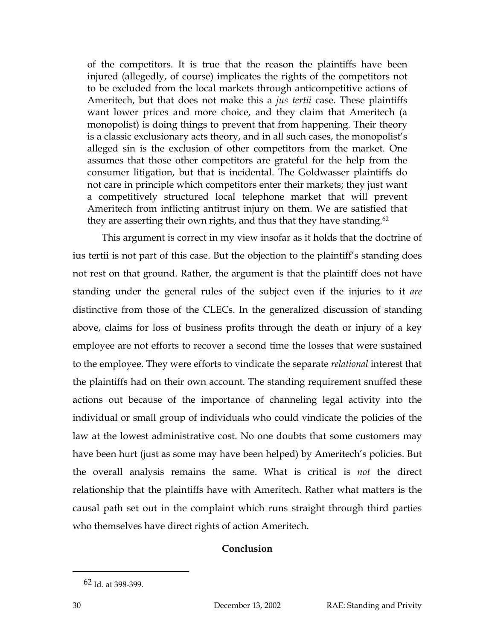of the competitors. It is true that the reason the plaintiffs have been injured (allegedly, of course) implicates the rights of the competitors not to be excluded from the local markets through anticompetitive actions of Ameritech, but that does not make this a *jus tertii* case. These plaintiffs want lower prices and more choice, and they claim that Ameritech (a monopolist) is doing things to prevent that from happening. Their theory is a classic exclusionary acts theory, and in all such cases, the monopolist's alleged sin is the exclusion of other competitors from the market. One assumes that those other competitors are grateful for the help from the consumer litigation, but that is incidental. The Goldwasser plaintiffs do not care in principle which competitors enter their markets; they just want a competitively structured local telephone market that will prevent Ameritech from inflicting antitrust injury on them. We are satisfied that they are asserting their own rights, and thus that they have standing.<sup>62</sup>

This argument is correct in my view insofar as it holds that the doctrine of ius tertii is not part of this case. But the objection to the plaintiff's standing does not rest on that ground. Rather, the argument is that the plaintiff does not have standing under the general rules of the subject even if the injuries to it *are* distinctive from those of the CLECs. In the generalized discussion of standing above, claims for loss of business profits through the death or injury of a key employee are not efforts to recover a second time the losses that were sustained to the employee. They were efforts to vindicate the separate *relational* interest that the plaintiffs had on their own account. The standing requirement snuffed these actions out because of the importance of channeling legal activity into the individual or small group of individuals who could vindicate the policies of the law at the lowest administrative cost. No one doubts that some customers may have been hurt (just as some may have been helped) by Ameritech's policies. But the overall analysis remains the same. What is critical is *not* the direct relationship that the plaintiffs have with Ameritech. Rather what matters is the causal path set out in the complaint which runs straight through third parties who themselves have direct rights of action Ameritech.

## **Conclusion**

<span id="page-32-0"></span><sup>62</sup> Id. at 398-399.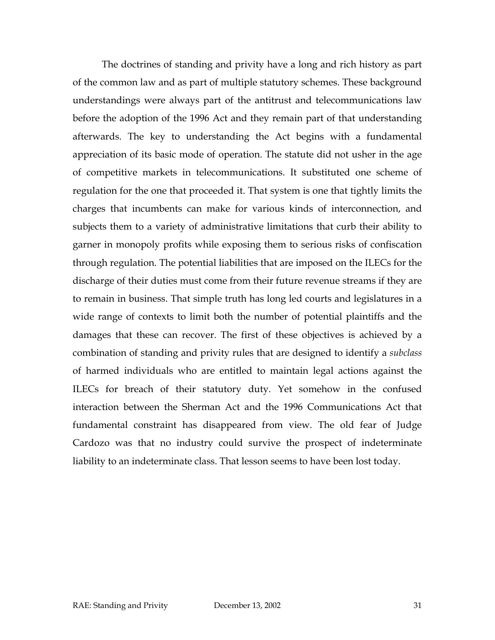The doctrines of standing and privity have a long and rich history as part of the common law and as part of multiple statutory schemes. These background understandings were always part of the antitrust and telecommunications law before the adoption of the 1996 Act and they remain part of that understanding afterwards. The key to understanding the Act begins with a fundamental appreciation of its basic mode of operation. The statute did not usher in the age of competitive markets in telecommunications. It substituted one scheme of regulation for the one that proceeded it. That system is one that tightly limits the charges that incumbents can make for various kinds of interconnection, and subjects them to a variety of administrative limitations that curb their ability to garner in monopoly profits while exposing them to serious risks of confiscation through regulation. The potential liabilities that are imposed on the ILECs for the discharge of their duties must come from their future revenue streams if they are to remain in business. That simple truth has long led courts and legislatures in a wide range of contexts to limit both the number of potential plaintiffs and the damages that these can recover. The first of these objectives is achieved by a combination of standing and privity rules that are designed to identify a *subclass*  of harmed individuals who are entitled to maintain legal actions against the ILECs for breach of their statutory duty. Yet somehow in the confused interaction between the Sherman Act and the 1996 Communications Act that fundamental constraint has disappeared from view. The old fear of Judge Cardozo was that no industry could survive the prospect of indeterminate liability to an indeterminate class. That lesson seems to have been lost today.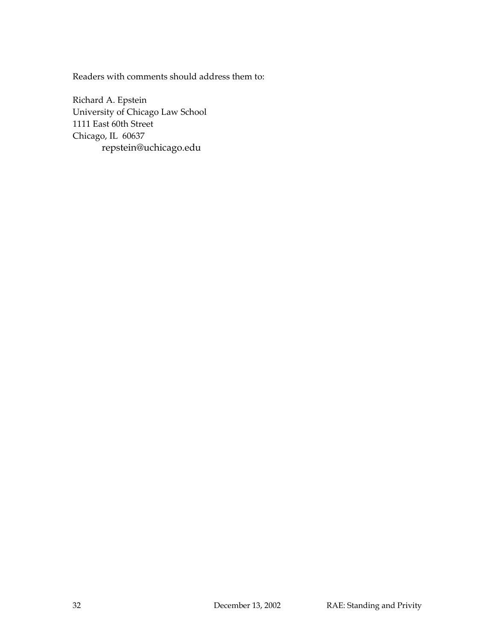Readers with comments should address them to:

Richard A. Epstein University of Chicago Law School 1111 East 60th Street Chicago, IL 60637 repstein@uchicago.edu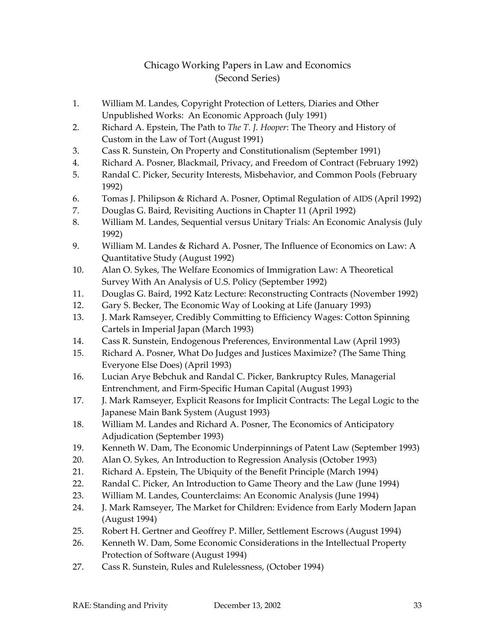## Chicago Working Papers in Law and Economics (Second Series)

- 1. William M. Landes, Copyright Protection of Letters, Diaries and Other Unpublished Works: An Economic Approach (July 1991)
- 2. Richard A. Epstein, The Path to *The T. J. Hooper*: The Theory and History of Custom in the Law of Tort (August 1991)
- 3. Cass R. Sunstein, On Property and Constitutionalism (September 1991)
- 4. Richard A. Posner, Blackmail, Privacy, and Freedom of Contract (February 1992)
- 5. Randal C. Picker, Security Interests, Misbehavior, and Common Pools (February 1992)
- 6. Tomas J. Philipson & Richard A. Posner, Optimal Regulation of AIDS (April 1992)
- 7. Douglas G. Baird, Revisiting Auctions in Chapter 11 (April 1992)
- 8. William M. Landes, Sequential versus Unitary Trials: An Economic Analysis (July 1992)
- 9. William M. Landes & Richard A. Posner, The Influence of Economics on Law: A Quantitative Study (August 1992)
- 10. Alan O. Sykes, The Welfare Economics of Immigration Law: A Theoretical Survey With An Analysis of U.S. Policy (September 1992)
- 11. Douglas G. Baird, 1992 Katz Lecture: Reconstructing Contracts (November 1992)
- 12. Gary S. Becker, The Economic Way of Looking at Life (January 1993)
- 13. J. Mark Ramseyer, Credibly Committing to Efficiency Wages: Cotton Spinning Cartels in Imperial Japan (March 1993)
- 14. Cass R. Sunstein, Endogenous Preferences, Environmental Law (April 1993)
- 15. Richard A. Posner, What Do Judges and Justices Maximize? (The Same Thing Everyone Else Does) (April 1993)
- 16. Lucian Arye Bebchuk and Randal C. Picker, Bankruptcy Rules, Managerial Entrenchment, and Firm-Specific Human Capital (August 1993)
- 17. J. Mark Ramseyer, Explicit Reasons for Implicit Contracts: The Legal Logic to the Japanese Main Bank System (August 1993)
- 18. William M. Landes and Richard A. Posner, The Economics of Anticipatory Adjudication (September 1993)
- 19. Kenneth W. Dam, The Economic Underpinnings of Patent Law (September 1993)
- 20. Alan O. Sykes, An Introduction to Regression Analysis (October 1993)
- 21. Richard A. Epstein, The Ubiquity of the Benefit Principle (March 1994)
- 22. Randal C. Picker, An Introduction to Game Theory and the Law (June 1994)
- 23. William M. Landes, Counterclaims: An Economic Analysis (June 1994)
- 24. J. Mark Ramseyer, The Market for Children: Evidence from Early Modern Japan (August 1994)
- 25. Robert H. Gertner and Geoffrey P. Miller, Settlement Escrows (August 1994)
- 26. Kenneth W. Dam, Some Economic Considerations in the Intellectual Property Protection of Software (August 1994)
- 27. Cass R. Sunstein, Rules and Rulelessness, (October 1994)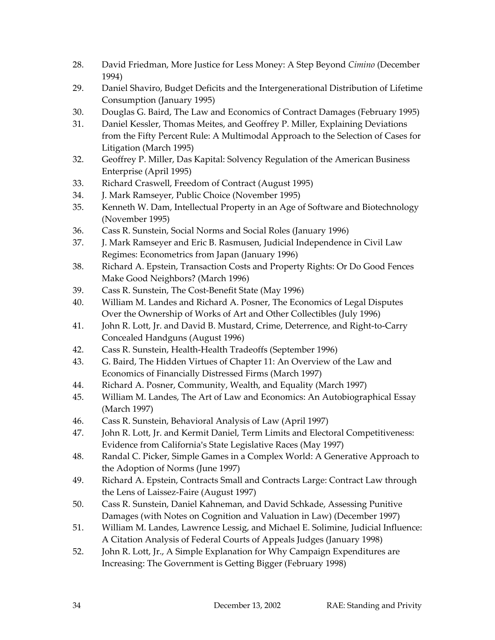- 28. David Friedman, More Justice for Less Money: A Step Beyond *Cimino* (December 1994)
- 29. Daniel Shaviro, Budget Deficits and the Intergenerational Distribution of Lifetime Consumption (January 1995)
- 30. Douglas G. Baird, The Law and Economics of Contract Damages (February 1995)
- 31. Daniel Kessler, Thomas Meites, and Geoffrey P. Miller, Explaining Deviations from the Fifty Percent Rule: A Multimodal Approach to the Selection of Cases for Litigation (March 1995)
- 32. Geoffrey P. Miller, Das Kapital: Solvency Regulation of the American Business Enterprise (April 1995)
- 33. Richard Craswell, Freedom of Contract (August 1995)
- 34. J. Mark Ramseyer, Public Choice (November 1995)
- 35. Kenneth W. Dam, Intellectual Property in an Age of Software and Biotechnology (November 1995)
- 36. Cass R. Sunstein, Social Norms and Social Roles (January 1996)
- 37. J. Mark Ramseyer and Eric B. Rasmusen, Judicial Independence in Civil Law Regimes: Econometrics from Japan (January 1996)
- 38. Richard A. Epstein, Transaction Costs and Property Rights: Or Do Good Fences Make Good Neighbors? (March 1996)
- 39. Cass R. Sunstein, The Cost-Benefit State (May 1996)
- 40. William M. Landes and Richard A. Posner, The Economics of Legal Disputes Over the Ownership of Works of Art and Other Collectibles (July 1996)
- 41. John R. Lott, Jr. and David B. Mustard, Crime, Deterrence, and Right-to-Carry Concealed Handguns (August 1996)
- 42. Cass R. Sunstein, Health-Health Tradeoffs (September 1996)
- 43. G. Baird, The Hidden Virtues of Chapter 11: An Overview of the Law and Economics of Financially Distressed Firms (March 1997)
- 44. Richard A. Posner, Community, Wealth, and Equality (March 1997)
- 45. William M. Landes, The Art of Law and Economics: An Autobiographical Essay (March 1997)
- 46. Cass R. Sunstein, Behavioral Analysis of Law (April 1997)
- 47. John R. Lott, Jr. and Kermit Daniel, Term Limits and Electoral Competitiveness: Evidence from California's State Legislative Races (May 1997)
- 48. Randal C. Picker, Simple Games in a Complex World: A Generative Approach to the Adoption of Norms (June 1997)
- 49. Richard A. Epstein, Contracts Small and Contracts Large: Contract Law through the Lens of Laissez-Faire (August 1997)
- 50. Cass R. Sunstein, Daniel Kahneman, and David Schkade, Assessing Punitive Damages (with Notes on Cognition and Valuation in Law) (December 1997)
- 51. William M. Landes, Lawrence Lessig, and Michael E. Solimine, Judicial Influence: A Citation Analysis of Federal Courts of Appeals Judges (January 1998)
- 52. John R. Lott, Jr., A Simple Explanation for Why Campaign Expenditures are Increasing: The Government is Getting Bigger (February 1998)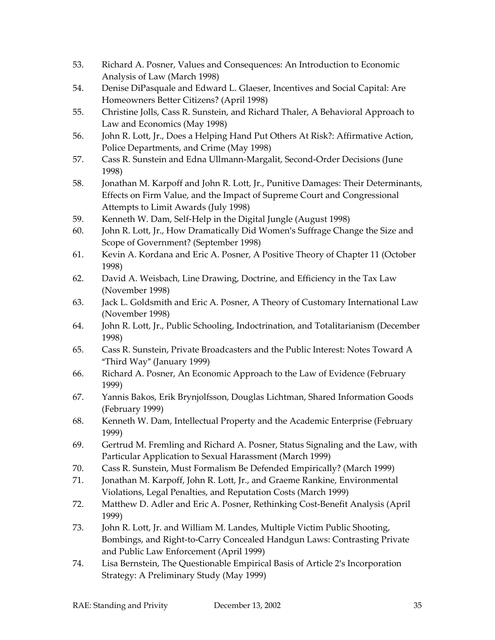- 53. Richard A. Posner, Values and Consequences: An Introduction to Economic Analysis of Law (March 1998)
- 54. Denise DiPasquale and Edward L. Glaeser, Incentives and Social Capital: Are Homeowners Better Citizens? (April 1998)
- 55. Christine Jolls, Cass R. Sunstein, and Richard Thaler, A Behavioral Approach to Law and Economics (May 1998)
- 56. John R. Lott, Jr., Does a Helping Hand Put Others At Risk?: Affirmative Action, Police Departments, and Crime (May 1998)
- 57. Cass R. Sunstein and Edna Ullmann-Margalit, Second-Order Decisions (June 1998)
- 58. Jonathan M. Karpoff and John R. Lott, Jr., Punitive Damages: Their Determinants, Effects on Firm Value, and the Impact of Supreme Court and Congressional Attempts to Limit Awards (July 1998)
- 59. Kenneth W. Dam, Self-Help in the Digital Jungle (August 1998)
- 60. John R. Lott, Jr., How Dramatically Did Women's Suffrage Change the Size and Scope of Government? (September 1998)
- 61. Kevin A. Kordana and Eric A. Posner, A Positive Theory of Chapter 11 (October 1998)
- 62. David A. Weisbach, Line Drawing, Doctrine, and Efficiency in the Tax Law (November 1998)
- 63. Jack L. Goldsmith and Eric A. Posner, A Theory of Customary International Law (November 1998)
- 64. John R. Lott, Jr., Public Schooling, Indoctrination, and Totalitarianism (December 1998)
- 65. Cass R. Sunstein, Private Broadcasters and the Public Interest: Notes Toward A "Third Way" (January 1999)
- 66. Richard A. Posner, An Economic Approach to the Law of Evidence (February 1999)
- 67. Yannis Bakos, Erik Brynjolfsson, Douglas Lichtman, Shared Information Goods (February 1999)
- 68. Kenneth W. Dam, Intellectual Property and the Academic Enterprise (February 1999)
- 69. Gertrud M. Fremling and Richard A. Posner, Status Signaling and the Law, with Particular Application to Sexual Harassment (March 1999)
- 70. Cass R. Sunstein, Must Formalism Be Defended Empirically? (March 1999)
- 71. Jonathan M. Karpoff, John R. Lott, Jr., and Graeme Rankine, Environmental Violations, Legal Penalties, and Reputation Costs (March 1999)
- 72. Matthew D. Adler and Eric A. Posner, Rethinking Cost-Benefit Analysis (April 1999)
- 73. John R. Lott, Jr. and William M. Landes, Multiple Victim Public Shooting, Bombings, and Right-to-Carry Concealed Handgun Laws: Contrasting Private and Public Law Enforcement (April 1999)
- 74. Lisa Bernstein, The Questionable Empirical Basis of Article 2's Incorporation Strategy: A Preliminary Study (May 1999)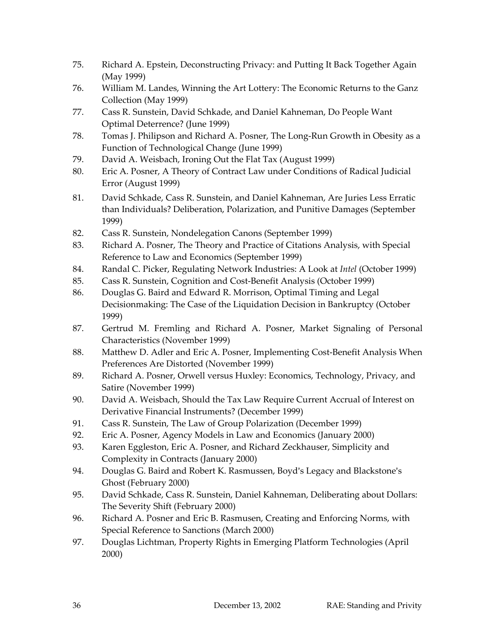- 75. Richard A. Epstein, Deconstructing Privacy: and Putting It Back Together Again (May 1999)
- 76. William M. Landes, Winning the Art Lottery: The Economic Returns to the Ganz Collection (May 1999)
- 77. Cass R. Sunstein, David Schkade, and Daniel Kahneman, Do People Want Optimal Deterrence? (June 1999)
- 78. Tomas J. Philipson and Richard A. Posner, The Long-Run Growth in Obesity as a Function of Technological Change (June 1999)
- 79. David A. Weisbach, Ironing Out the Flat Tax (August 1999)
- 80. Eric A. Posner, A Theory of Contract Law under Conditions of Radical Judicial Error (August 1999)
- 81. David Schkade, Cass R. Sunstein, and Daniel Kahneman, Are Juries Less Erratic than Individuals? Deliberation, Polarization, and Punitive Damages (September 1999)
- 82. Cass R. Sunstein, Nondelegation Canons (September 1999)
- 83. Richard A. Posner, The Theory and Practice of Citations Analysis, with Special Reference to Law and Economics (September 1999)
- 84. Randal C. Picker, Regulating Network Industries: A Look at *Intel* (October 1999)
- 85. Cass R. Sunstein, Cognition and Cost-Benefit Analysis (October 1999)
- 86. Douglas G. Baird and Edward R. Morrison, Optimal Timing and Legal Decisionmaking: The Case of the Liquidation Decision in Bankruptcy (October 1999)
- 87. Gertrud M. Fremling and Richard A. Posner, Market Signaling of Personal Characteristics (November 1999)
- 88. Matthew D. Adler and Eric A. Posner, Implementing Cost-Benefit Analysis When Preferences Are Distorted (November 1999)
- 89. Richard A. Posner, Orwell versus Huxley: Economics, Technology, Privacy, and Satire (November 1999)
- 90. David A. Weisbach, Should the Tax Law Require Current Accrual of Interest on Derivative Financial Instruments? (December 1999)
- 91. Cass R. Sunstein, The Law of Group Polarization (December 1999)
- 92. Eric A. Posner, Agency Models in Law and Economics (January 2000)
- 93. Karen Eggleston, Eric A. Posner, and Richard Zeckhauser, Simplicity and Complexity in Contracts (January 2000)
- 94. Douglas G. Baird and Robert K. Rasmussen, Boyd's Legacy and Blackstone's Ghost (February 2000)
- 95. David Schkade, Cass R. Sunstein, Daniel Kahneman, Deliberating about Dollars: The Severity Shift (February 2000)
- 96. Richard A. Posner and Eric B. Rasmusen, Creating and Enforcing Norms, with Special Reference to Sanctions (March 2000)
- 97. Douglas Lichtman, Property Rights in Emerging Platform Technologies (April 2000)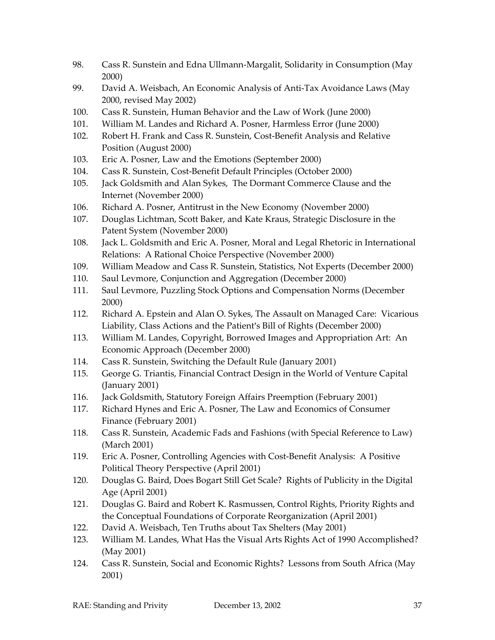- 98. Cass R. Sunstein and Edna Ullmann-Margalit, Solidarity in Consumption (May 2000)
- 99. David A. Weisbach, An Economic Analysis of Anti-Tax Avoidance Laws (May 2000, revised May 2002)
- 100. Cass R. Sunstein, Human Behavior and the Law of Work (June 2000)
- 101. William M. Landes and Richard A. Posner, Harmless Error (June 2000)
- 102. Robert H. Frank and Cass R. Sunstein, Cost-Benefit Analysis and Relative Position (August 2000)
- 103. Eric A. Posner, Law and the Emotions (September 2000)
- 104. Cass R. Sunstein, Cost-Benefit Default Principles (October 2000)
- 105. Jack Goldsmith and Alan Sykes, The Dormant Commerce Clause and the Internet (November 2000)
- 106. Richard A. Posner, Antitrust in the New Economy (November 2000)
- 107. Douglas Lichtman, Scott Baker, and Kate Kraus, Strategic Disclosure in the Patent System (November 2000)
- 108. Jack L. Goldsmith and Eric A. Posner, Moral and Legal Rhetoric in International Relations: A Rational Choice Perspective (November 2000)
- 109. William Meadow and Cass R. Sunstein, Statistics, Not Experts (December 2000)
- 110. Saul Levmore, Conjunction and Aggregation (December 2000)
- 111. Saul Levmore, Puzzling Stock Options and Compensation Norms (December 2000)
- 112. Richard A. Epstein and Alan O. Sykes, The Assault on Managed Care: Vicarious Liability, Class Actions and the Patient's Bill of Rights (December 2000)
- 113. William M. Landes, Copyright, Borrowed Images and Appropriation Art: An Economic Approach (December 2000)
- 114. Cass R. Sunstein, Switching the Default Rule (January 2001)
- 115. George G. Triantis, Financial Contract Design in the World of Venture Capital (January 2001)
- 116. Jack Goldsmith, Statutory Foreign Affairs Preemption (February 2001)
- 117. Richard Hynes and Eric A. Posner, The Law and Economics of Consumer Finance (February 2001)
- 118. Cass R. Sunstein, Academic Fads and Fashions (with Special Reference to Law) (March 2001)
- 119. Eric A. Posner, Controlling Agencies with Cost-Benefit Analysis: A Positive Political Theory Perspective (April 2001)
- 120. Douglas G. Baird, Does Bogart Still Get Scale? Rights of Publicity in the Digital Age (April 2001)
- 121. Douglas G. Baird and Robert K. Rasmussen, Control Rights, Priority Rights and the Conceptual Foundations of Corporate Reorganization (April 2001)
- 122. David A. Weisbach, Ten Truths about Tax Shelters (May 2001)
- 123. William M. Landes, What Has the Visual Arts Rights Act of 1990 Accomplished? (May 2001)
- 124. Cass R. Sunstein, Social and Economic Rights? Lessons from South Africa (May 2001)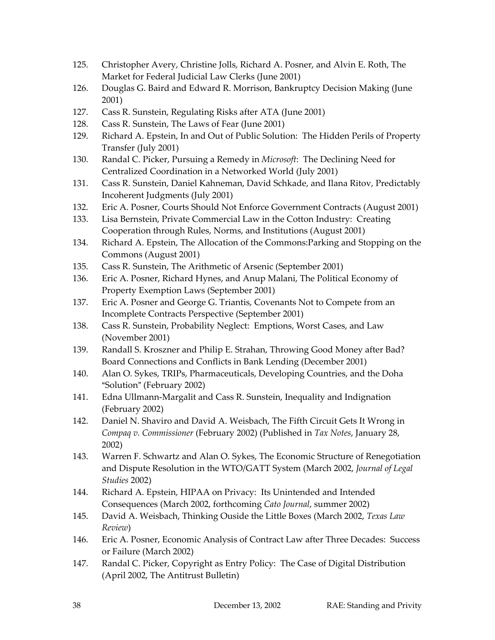- 125. Christopher Avery, Christine Jolls, Richard A. Posner, and Alvin E. Roth, The Market for Federal Judicial Law Clerks (June 2001)
- 126. Douglas G. Baird and Edward R. Morrison, Bankruptcy Decision Making (June 2001)
- 127. Cass R. Sunstein, Regulating Risks after ATA (June 2001)
- 128. Cass R. Sunstein, The Laws of Fear (June 2001)
- 129. Richard A. Epstein, In and Out of Public Solution: The Hidden Perils of Property Transfer (July 2001)
- 130. Randal C. Picker, Pursuing a Remedy in *Microsoft*: The Declining Need for Centralized Coordination in a Networked World (July 2001)
- 131. Cass R. Sunstein, Daniel Kahneman, David Schkade, and Ilana Ritov, Predictably Incoherent Judgments (July 2001)
- 132. Eric A. Posner, Courts Should Not Enforce Government Contracts (August 2001)
- 133. Lisa Bernstein, Private Commercial Law in the Cotton Industry: Creating Cooperation through Rules, Norms, and Institutions (August 2001)
- 134. Richard A. Epstein, The Allocation of the Commons:Parking and Stopping on the Commons (August 2001)
- 135. Cass R. Sunstein, The Arithmetic of Arsenic (September 2001)
- 136. Eric A. Posner, Richard Hynes, and Anup Malani, The Political Economy of Property Exemption Laws (September 2001)
- 137. Eric A. Posner and George G. Triantis, Covenants Not to Compete from an Incomplete Contracts Perspective (September 2001)
- 138. Cass R. Sunstein, Probability Neglect: Emptions, Worst Cases, and Law (November 2001)
- 139. Randall S. Kroszner and Philip E. Strahan, Throwing Good Money after Bad? Board Connections and Conflicts in Bank Lending (December 2001)
- 140. Alan O. Sykes, TRIPs, Pharmaceuticals, Developing Countries, and the Doha "Solution" (February 2002)
- 141. Edna Ullmann-Margalit and Cass R. Sunstein, Inequality and Indignation (February 2002)
- 142. Daniel N. Shaviro and David A. Weisbach, The Fifth Circuit Gets It Wrong in *Compaq v. Commissioner* (February 2002) (Published in *Tax Notes*, January 28, 2002)
- 143. Warren F. Schwartz and Alan O. Sykes, The Economic Structure of Renegotiation and Dispute Resolution in the WTO/GATT System (March 2002, *Journal of Legal Studies* 2002)
- 144. Richard A. Epstein, HIPAA on Privacy: Its Unintended and Intended Consequences (March 2002, forthcoming *Cato Journal*, summer 2002)
- 145. David A. Weisbach, Thinking Ouside the Little Boxes (March 2002, *Texas Law Review*)
- 146. Eric A. Posner, Economic Analysis of Contract Law after Three Decades: Success or Failure (March 2002)
- 147. Randal C. Picker, Copyright as Entry Policy: The Case of Digital Distribution (April 2002, The Antitrust Bulletin)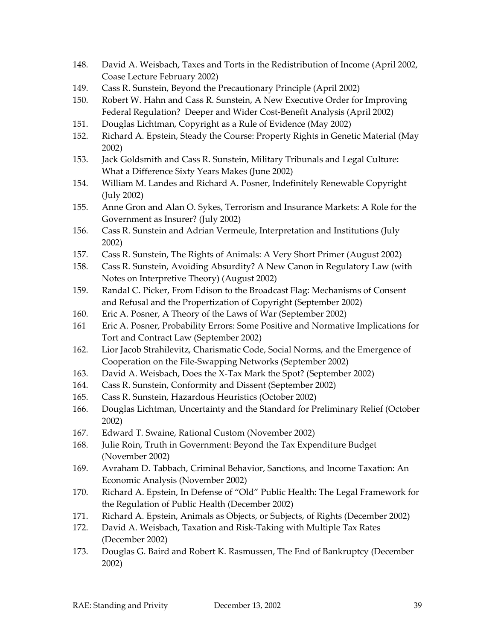- 148. David A. Weisbach, Taxes and Torts in the Redistribution of Income (April 2002, Coase Lecture February 2002)
- 149. Cass R. Sunstein, Beyond the Precautionary Principle (April 2002)
- 150. Robert W. Hahn and Cass R. Sunstein, A New Executive Order for Improving Federal Regulation? Deeper and Wider Cost-Benefit Analysis (April 2002)
- 151. Douglas Lichtman, Copyright as a Rule of Evidence (May 2002)
- 152. Richard A. Epstein, Steady the Course: Property Rights in Genetic Material (May 2002)
- 153. Jack Goldsmith and Cass R. Sunstein, Military Tribunals and Legal Culture: What a Difference Sixty Years Makes (June 2002)
- 154. William M. Landes and Richard A. Posner, Indefinitely Renewable Copyright (July 2002)
- 155. Anne Gron and Alan O. Sykes, Terrorism and Insurance Markets: A Role for the Government as Insurer? (July 2002)
- 156. Cass R. Sunstein and Adrian Vermeule, Interpretation and Institutions (July 2002)
- 157. Cass R. Sunstein, The Rights of Animals: A Very Short Primer (August 2002)
- 158. Cass R. Sunstein, Avoiding Absurdity? A New Canon in Regulatory Law (with Notes on Interpretive Theory) (August 2002)
- 159. Randal C. Picker, From Edison to the Broadcast Flag: Mechanisms of Consent and Refusal and the Propertization of Copyright (September 2002)
- 160. Eric A. Posner, A Theory of the Laws of War (September 2002)
- 161 Eric A. Posner, Probability Errors: Some Positive and Normative Implications for Tort and Contract Law (September 2002)
- 162. Lior Jacob Strahilevitz, Charismatic Code, Social Norms, and the Emergence of Cooperation on the File-Swapping Networks (September 2002)
- 163. David A. Weisbach, Does the X-Tax Mark the Spot? (September 2002)
- 164. Cass R. Sunstein, Conformity and Dissent (September 2002)
- 165. Cass R. Sunstein, Hazardous Heuristics (October 2002)
- 166. Douglas Lichtman, Uncertainty and the Standard for Preliminary Relief (October 2002)
- 167. Edward T. Swaine, Rational Custom (November 2002)
- 168. Julie Roin, Truth in Government: Beyond the Tax Expenditure Budget (November 2002)
- 169. Avraham D. Tabbach, Criminal Behavior, Sanctions, and Income Taxation: An Economic Analysis (November 2002)
- 170. Richard A. Epstein, In Defense of "Old" Public Health: The Legal Framework for the Regulation of Public Health (December 2002)
- 171. Richard A. Epstein, Animals as Objects, or Subjects, of Rights (December 2002)
- 172. David A. Weisbach, Taxation and Risk-Taking with Multiple Tax Rates (December 2002)
- 173. Douglas G. Baird and Robert K. Rasmussen, The End of Bankruptcy (December 2002)